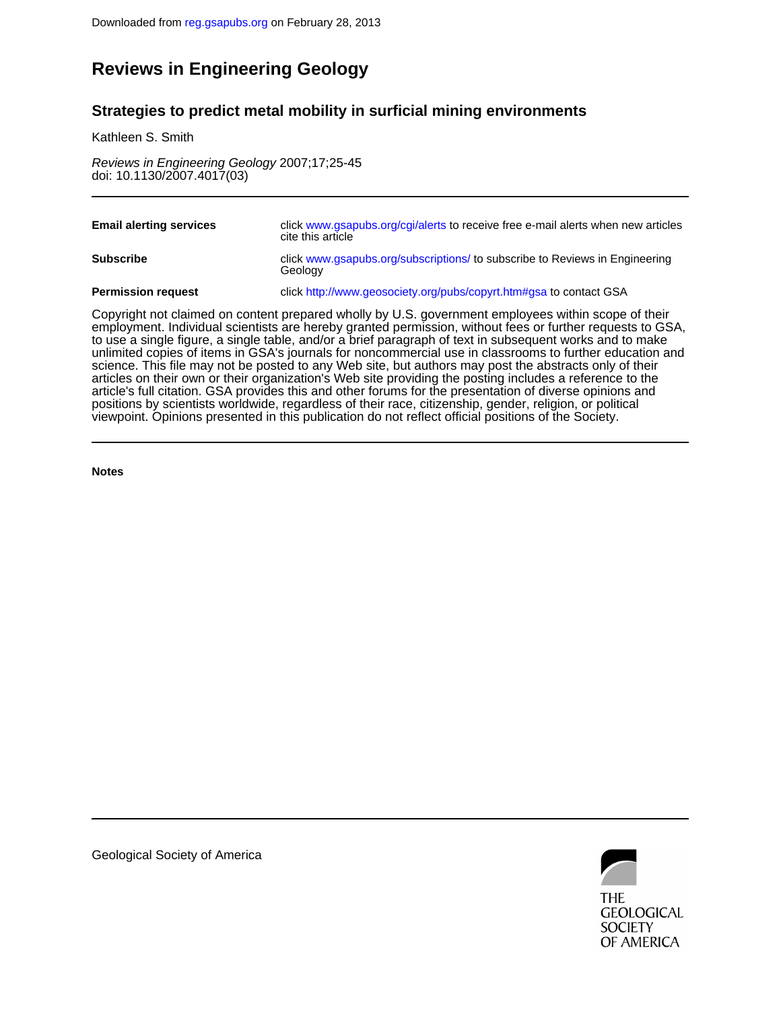# **Reviews in Engineering Geology**

# **Strategies to predict metal mobility in surficial mining environments**

Kathleen S. Smith

doi: 10.1130/2007.4017(03) Reviews in Engineering Geology 2007;17;25-45

| <b>Email alerting services</b> | click www.gsapubs.org/cgi/alerts to receive free e-mail alerts when new articles<br>cite this article |
|--------------------------------|-------------------------------------------------------------------------------------------------------|
| <b>Subscribe</b>               | click www.gsapubs.org/subscriptions/ to subscribe to Reviews in Engineering<br>Geology                |
| <b>Permission request</b>      | click http://www.geosociety.org/pubs/copyrt.htm#gsa to contact GSA                                    |

viewpoint. Opinions presented in this publication do not reflect official positions of the Society. positions by scientists worldwide, regardless of their race, citizenship, gender, religion, or political article's full citation. GSA provides this and other forums for the presentation of diverse opinions and articles on their own or their organization's Web site providing the posting includes a reference to the science. This file may not be posted to any Web site, but authors may post the abstracts only of their unlimited copies of items in GSA's journals for noncommercial use in classrooms to further education and to use a single figure, a single table, and/or a brief paragraph of text in subsequent works and to make employment. Individual scientists are hereby granted permission, without fees or further requests to GSA, Copyright not claimed on content prepared wholly by U.S. government employees within scope of their

**Notes**



Geological Society of America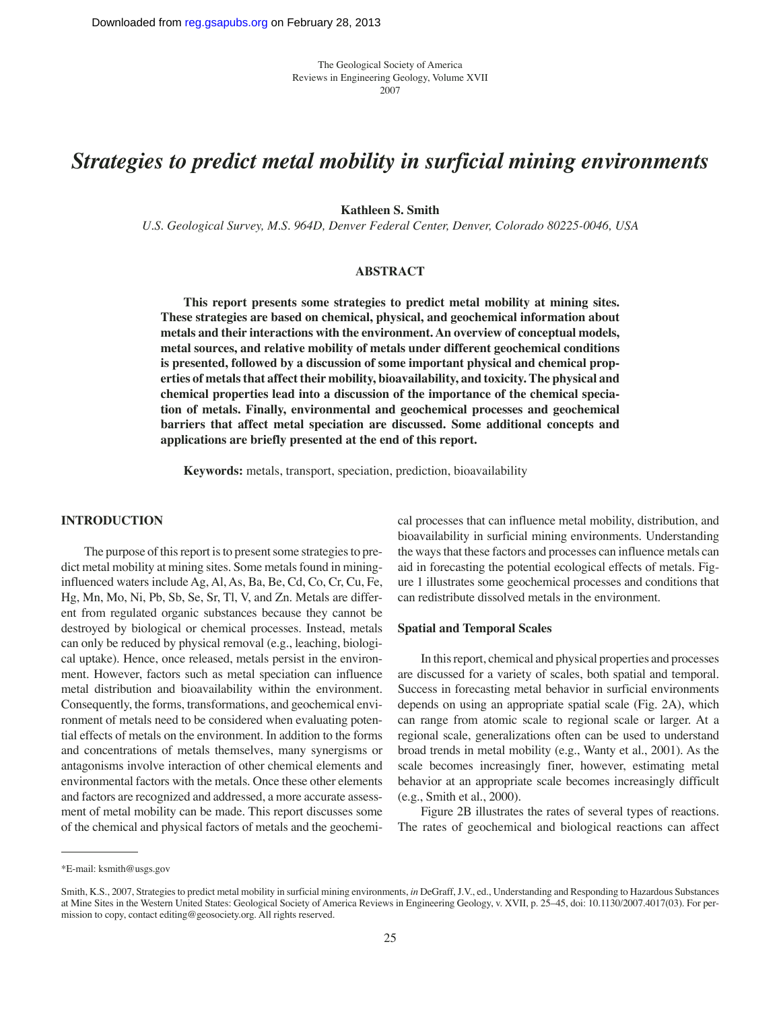# *Strategies to predict metal mobility in surficial mining environments*

**Kathleen S. Smith**

*U.S. Geological Survey, M.S. 964D, Denver Federal Center, Denver, Colorado 80225-0046, USA*

### **ABSTRACT**

**This report presents some strategies to predict metal mobility at mining sites. These strategies are based on chemical, physical, and geochemical information about metals and their interactions with the environment. An overview of conceptual models, metal sources, and relative mobility of metals under different geochemical conditions is presented, followed by a discussion of some important physical and chemical properties of metals that affect their mobility, bioavailability, and toxicity. The physical and chemical properties lead into a discussion of the importance of the chemical speciation of metals. Finally, environmental and geochemical processes and geochemical barriers that affect metal speciation are discussed. Some additional concepts and applications are briefly presented at the end of this report.**

**Keywords:** metals, transport, speciation, prediction, bioavailability

# **INTRODUCTION**

The purpose of this report is to present some strategies to predict metal mobility at mining sites. Some metals found in mininginfluenced waters include Ag, Al, As, Ba, Be, Cd, Co, Cr, Cu, Fe, Hg, Mn, Mo, Ni, Pb, Sb, Se, Sr, Tl, V, and Zn. Metals are different from regulated organic substances because they cannot be destroyed by biological or chemical processes. Instead, metals can only be reduced by physical removal (e.g., leaching, biological uptake). Hence, once released, metals persist in the environment. However, factors such as metal speciation can influence metal distribution and bioavailability within the environment. Consequently, the forms, transformations, and geochemical environment of metals need to be considered when evaluating potential effects of metals on the environment. In addition to the forms and concentrations of metals themselves, many synergisms or antagonisms involve interaction of other chemical elements and environmental factors with the metals. Once these other elements and factors are recognized and addressed, a more accurate assessment of metal mobility can be made. This report discusses some of the chemical and physical factors of metals and the geochemical processes that can influence metal mobility, distribution, and bioavailability in surficial mining environments. Understanding the ways that these factors and processes can influence metals can aid in forecasting the potential ecological effects of metals. Figure 1 illustrates some geochemical processes and conditions that can redistribute dissolved metals in the environment.

#### **Spatial and Temporal Scales**

In this report, chemical and physical properties and processes are discussed for a variety of scales, both spatial and temporal. Success in forecasting metal behavior in surficial environments depends on using an appropriate spatial scale (Fig. 2A), which can range from atomic scale to regional scale or larger. At a regional scale, generalizations often can be used to understand broad trends in metal mobility (e.g., Wanty et al., 2001). As the scale becomes increasingly finer, however, estimating metal behavior at an appropriate scale becomes increasingly difficult (e.g., Smith et al., 2000).

Figure 2B illustrates the rates of several types of reactions. The rates of geochemical and biological reactions can affect

<sup>\*</sup>E-mail: ksmith@usgs.gov

Smith, K.S., 2007, Strategies to predict metal mobility in surficial mining environments, *in* DeGraff, J.V., ed., Understanding and Responding to Hazardous Substances at Mine Sites in the Western United States: Geological Society of America Reviews in Engineering Geology, v. XVII, p. 25–45, doi: 10.1130/2007.4017(03). For permission to copy, contact editing@geosociety.org. All rights reserved.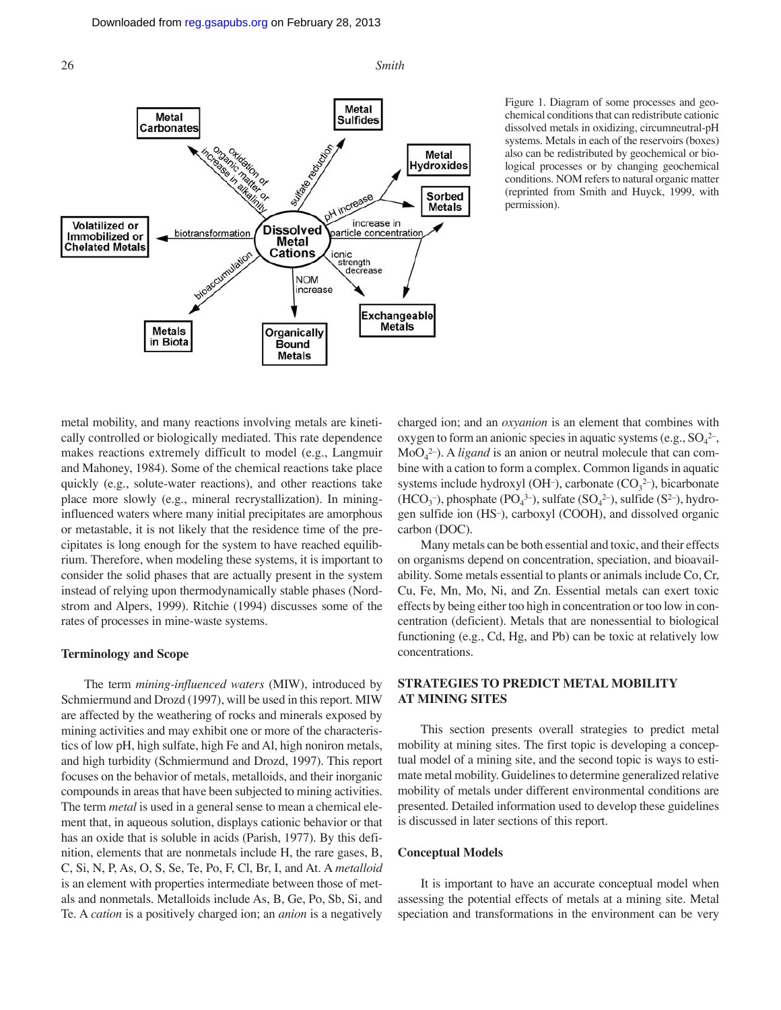

Figure 1. Diagram of some processes and geochemical conditions that can redistribute cationic dissolved metals in oxidizing, circumneutral-pH systems. Metals in each of the reservoirs (boxes) also can be redistributed by geochemical or biological processes or by changing geochemical conditions. NOM refers to natural organic matter (reprinted from Smith and Huyck, 1999, with permission).

metal mobility, and many reactions involving metals are kinetically controlled or biologically mediated. This rate dependence makes reactions extremely difficult to model (e.g., Langmuir and Mahoney, 1984). Some of the chemical reactions take place quickly (e.g., solute-water reactions), and other reactions take place more slowly (e.g., mineral recrystallization). In mininginfluenced waters where many initial precipitates are amorphous or metastable, it is not likely that the residence time of the precipitates is long enough for the system to have reached equilibrium. Therefore, when modeling these systems, it is important to consider the solid phases that are actually present in the system instead of relying upon thermodynamically stable phases (Nordstrom and Alpers, 1999). Ritchie (1994) discusses some of the rates of processes in mine-waste systems.

#### **Terminology and Scope**

The term *mining-influenced waters* (MIW), introduced by Schmiermund and Drozd (1997), will be used in this report. MIW are affected by the weathering of rocks and minerals exposed by mining activities and may exhibit one or more of the characteristics of low pH, high sulfate, high Fe and Al, high noniron metals, and high turbidity (Schmiermund and Drozd, 1997). This report focuses on the behavior of metals, metalloids, and their inorganic compounds in areas that have been subjected to mining activities. The term *metal* is used in a general sense to mean a chemical element that, in aqueous solution, displays cationic behavior or that has an oxide that is soluble in acids (Parish, 1977). By this definition, elements that are nonmetals include H, the rare gases, B, C, Si, N, P, As, O, S, Se, Te, Po, F, Cl, Br, I, and At. A *metalloid* is an element with properties intermediate between those of metals and nonmetals. Metalloids include As, B, Ge, Po, Sb, Si, and Te. A *cation* is a positively charged ion; an *anion* is a negatively charged ion; and an *oxyanion* is an element that combines with oxygen to form an anionic species in aquatic systems (e.g.,  $SO_4^2$ ), MoO4 2–). A *ligand* is an anion or neutral molecule that can combine with a cation to form a complex. Common ligands in aquatic systems include hydroxyl (OH<sup>-</sup>), carbonate  $(CO<sub>3</sub><sup>2</sup>)$ , bicarbonate  $(HCO<sub>3</sub><sup>-</sup>)$ , phosphate  $(PO<sub>4</sub><sup>3-</sup>)$ , sulfate  $(SO<sub>4</sub><sup>2-</sup>)$ , sulfide  $(S<sup>2-</sup>)$ , hydrogen sulfide ion (HS–), carboxyl (COOH), and dissolved organic carbon (DOC).

Many metals can be both essential and toxic, and their effects on organisms depend on concentration, speciation, and bioavailability. Some metals essential to plants or animals include Co, Cr, Cu, Fe, Mn, Mo, Ni, and Zn. Essential metals can exert toxic effects by being either too high in concentration or too low in concentration (deficient). Metals that are nonessential to biological functioning (e.g., Cd, Hg, and Pb) can be toxic at relatively low concentrations.

# **STRATEGIES TO PREDICT METAL MOBILITY AT MINING SITES**

This section presents overall strategies to predict metal mobility at mining sites. The first topic is developing a conceptual model of a mining site, and the second topic is ways to estimate metal mobility. Guidelines to determine generalized relative mobility of metals under different environmental conditions are presented. Detailed information used to develop these guidelines is discussed in later sections of this report.

#### **Conceptual Models**

It is important to have an accurate conceptual model when assessing the potential effects of metals at a mining site. Metal speciation and transformations in the environment can be very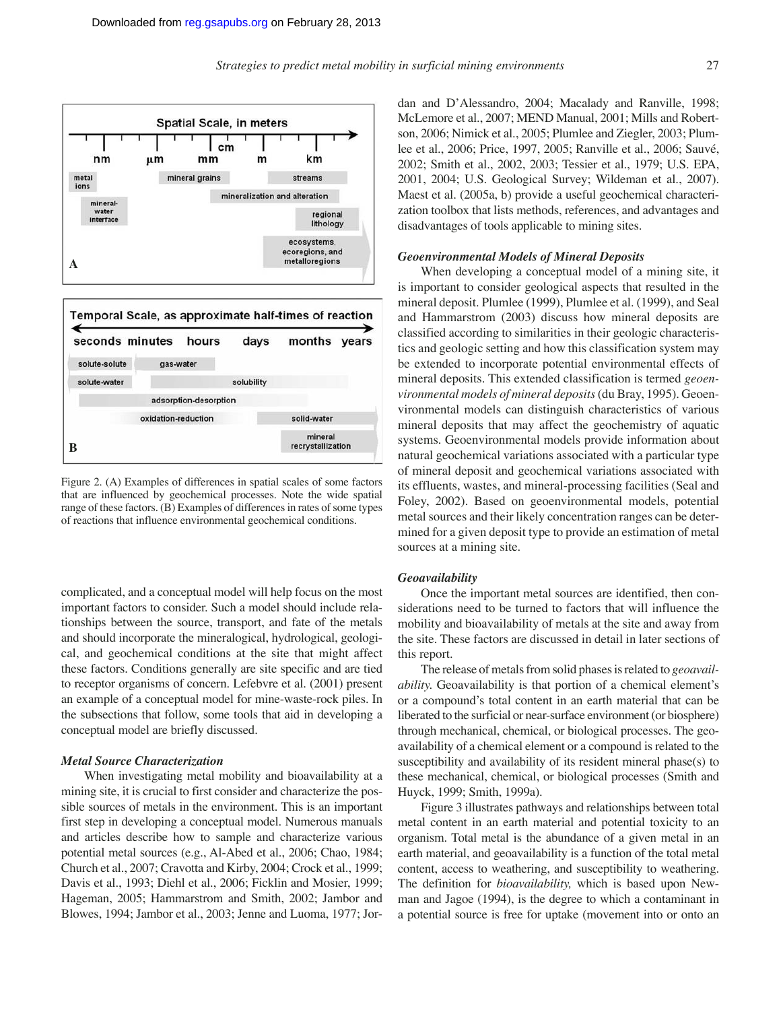



Figure 2. (A) Examples of differences in spatial scales of some factors that are influenced by geochemical processes. Note the wide spatial range of these factors. (B) Examples of differences in rates of some types of reactions that influence environmental geochemical conditions.

complicated, and a conceptual model will help focus on the most important factors to consider. Such a model should include relationships between the source, transport, and fate of the metals and should incorporate the mineralogical, hydrological, geological, and geochemical conditions at the site that might affect these factors. Conditions generally are site specific and are tied to receptor organisms of concern. Lefebvre et al. (2001) present an example of a conceptual model for mine-waste-rock piles. In the subsections that follow, some tools that aid in developing a conceptual model are briefly discussed.

#### *Metal Source Characterization*

When investigating metal mobility and bioavailability at a mining site, it is crucial to first consider and characterize the possible sources of metals in the environment. This is an important first step in developing a conceptual model. Numerous manuals and articles describe how to sample and characterize various potential metal sources (e.g., Al-Abed et al., 2006; Chao, 1984; Church et al., 2007; Cravotta and Kirby, 2004; Crock et al., 1999; Davis et al., 1993; Diehl et al., 2006; Ficklin and Mosier, 1999; Hageman, 2005; Hammarstrom and Smith, 2002; Jambor and Blowes, 1994; Jambor et al., 2003; Jenne and Luoma, 1977; Jordan and D'Alessandro, 2004; Macalady and Ranville, 1998; McLemore et al., 2007; MEND Manual, 2001; Mills and Robertson, 2006; Nimick et al., 2005; Plumlee and Ziegler, 2003; Plumlee et al., 2006; Price, 1997, 2005; Ranville et al., 2006; Sauvé, 2002; Smith et al., 2002, 2003; Tessier et al., 1979; U.S. EPA, 2001, 2004; U.S. Geological Survey; Wildeman et al., 2007). Maest et al. (2005a, b) provide a useful geochemical characterization toolbox that lists methods, references, and advantages and disadvantages of tools applicable to mining sites.

#### *Geoenvironmental Models of Mineral Deposits*

When developing a conceptual model of a mining site, it is important to consider geological aspects that resulted in the mineral deposit. Plumlee (1999), Plumlee et al. (1999), and Seal and Hammarstrom (2003) discuss how mineral deposits are classified according to similarities in their geologic characteristics and geologic setting and how this classification system may be extended to incorporate potential environmental effects of mineral deposits. This extended classification is termed *geoenvironmental models of mineral deposits*(du Bray, 1995). Geoenvironmental models can distinguish characteristics of various mineral deposits that may affect the geochemistry of aquatic systems. Geoenvironmental models provide information about natural geochemical variations associated with a particular type of mineral deposit and geochemical variations associated with its effluents, wastes, and mineral-processing facilities (Seal and Foley, 2002). Based on geoenvironmental models, potential metal sources and their likely concentration ranges can be determined for a given deposit type to provide an estimation of metal sources at a mining site.

#### *Geoavailability*

Once the important metal sources are identified, then considerations need to be turned to factors that will influence the mobility and bioavailability of metals at the site and away from the site. These factors are discussed in detail in later sections of this report.

The release of metals from solid phases is related to *geoavailability.* Geoavailability is that portion of a chemical element's or a compound's total content in an earth material that can be liberated to the surficial or near-surface environment (or biosphere) through mechanical, chemical, or biological processes. The geoavailability of a chemical element or a compound is related to the susceptibility and availability of its resident mineral phase(s) to these mechanical, chemical, or biological processes (Smith and Huyck, 1999; Smith, 1999a).

Figure 3 illustrates pathways and relationships between total metal content in an earth material and potential toxicity to an organism. Total metal is the abundance of a given metal in an earth material, and geoavailability is a function of the total metal content, access to weathering, and susceptibility to weathering. The definition for *bioavailability,* which is based upon Newman and Jagoe (1994), is the degree to which a contaminant in a potential source is free for uptake (movement into or onto an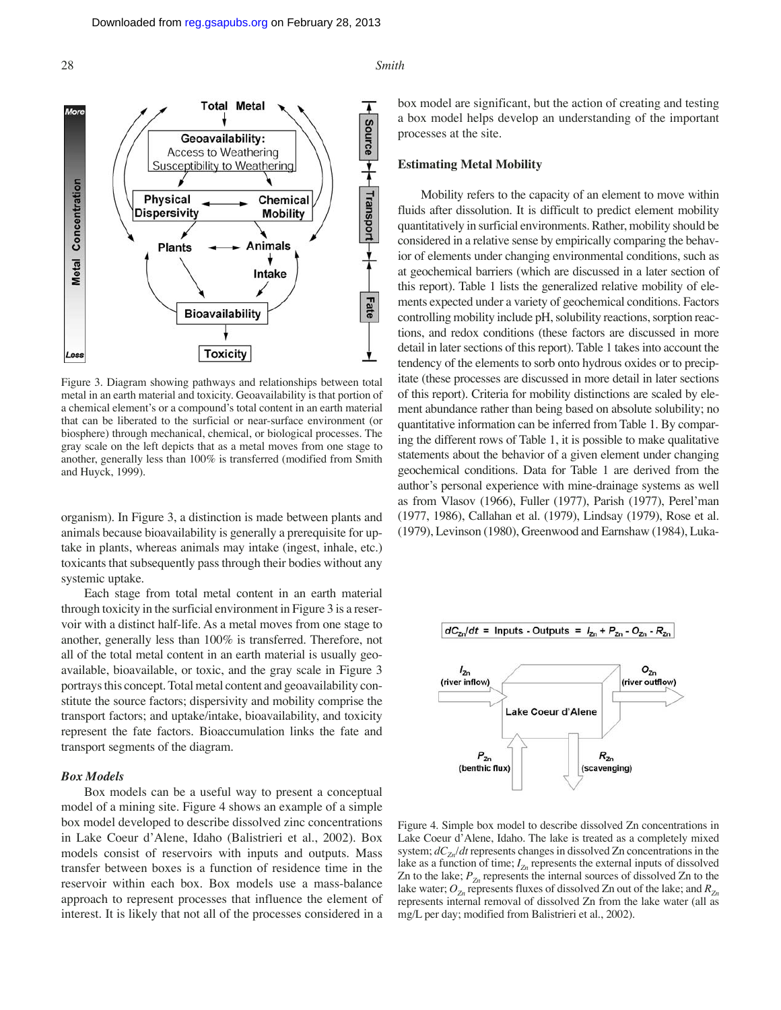

Figure 3. Diagram showing pathways and relationships between total metal in an earth material and toxicity. Geoavailability is that portion of a chemical element's or a compound's total content in an earth material that can be liberated to the surficial or near-surface environment (or biosphere) through mechanical, chemical, or biological processes. The gray scale on the left depicts that as a metal moves from one stage to another, generally less than 100% is transferred (modified from Smith and Huyck, 1999).

organism). In Figure 3, a distinction is made between plants and animals because bioavailability is generally a prerequisite for uptake in plants, whereas animals may intake (ingest, inhale, etc.) toxicants that subsequently pass through their bodies without any systemic uptake.

Each stage from total metal content in an earth material through toxicity in the surficial environment in Figure 3 is a reservoir with a distinct half-life. As a metal moves from one stage to another, generally less than 100% is transferred. Therefore, not all of the total metal content in an earth material is usually geoavailable, bioavailable, or toxic, and the gray scale in Figure 3 portrays this concept. Total metal content and geoavailability constitute the source factors; dispersivity and mobility comprise the transport factors; and uptake/intake, bioavailability, and toxicity represent the fate factors. Bioaccumulation links the fate and transport segments of the diagram.

#### *Box Models*

Box models can be a useful way to present a conceptual model of a mining site. Figure 4 shows an example of a simple box model developed to describe dissolved zinc concentrations in Lake Coeur d'Alene, Idaho (Balistrieri et al., 2002). Box models consist of reservoirs with inputs and outputs. Mass transfer between boxes is a function of residence time in the reservoir within each box. Box models use a mass-balance approach to represent processes that influence the element of interest. It is likely that not all of the processes considered in a box model are significant, but the action of creating and testing a box model helps develop an understanding of the important processes at the site.

#### **Estimating Metal Mobility**

Mobility refers to the capacity of an element to move within fluids after dissolution. It is difficult to predict element mobility quantitatively in surficial environments. Rather, mobility should be considered in a relative sense by empirically comparing the behavior of elements under changing environmental conditions, such as at geochemical barriers (which are discussed in a later section of this report). Table 1 lists the generalized relative mobility of elements expected under a variety of geochemical conditions. Factors controlling mobility include pH, solubility reactions, sorption reactions, and redox conditions (these factors are discussed in more detail in later sections of this report). Table 1 takes into account the tendency of the elements to sorb onto hydrous oxides or to precipitate (these processes are discussed in more detail in later sections of this report). Criteria for mobility distinctions are scaled by element abundance rather than being based on absolute solubility; no quantitative information can be inferred from Table 1. By comparing the different rows of Table 1, it is possible to make qualitative statements about the behavior of a given element under changing geochemical conditions. Data for Table 1 are derived from the author's personal experience with mine-drainage systems as well as from Vlasov (1966), Fuller (1977), Parish (1977), Perel'man (1977, 1986), Callahan et al. (1979), Lindsay (1979), Rose et al. (1979), Levinson (1980), Greenwood and Earnshaw (1984), Luka-



Figure 4. Simple box model to describe dissolved Zn concentrations in Lake Coeur d'Alene, Idaho. The lake is treated as a completely mixed system;  $dC_{7n}/dt$  represents changes in dissolved Zn concentrations in the lake as a function of time;  $I_{Z_n}$  represents the external inputs of dissolved Zn to the lake;  $P_{Zn}$  represents the internal sources of dissolved Zn to the lake water;  $O_{Z_n}$  represents fluxes of dissolved Zn out of the lake; and  $R_{Z_n}$ represents internal removal of dissolved Zn from the lake water (all as mg/L per day; modified from Balistrieri et al., 2002).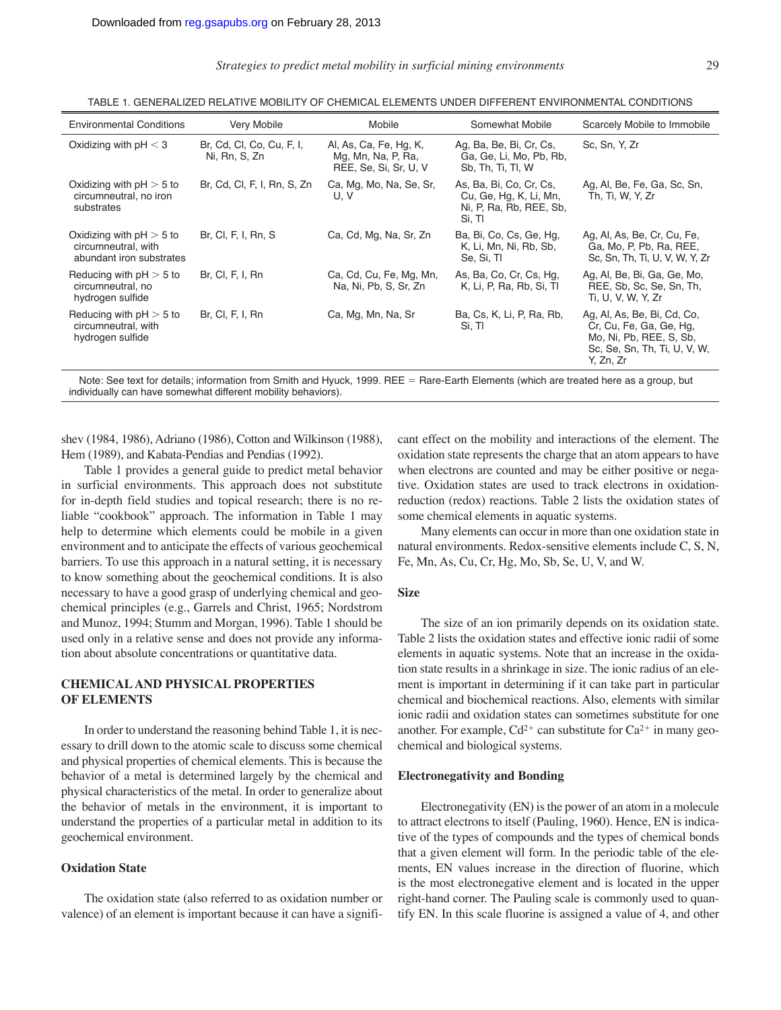# *Strategies to predict metal mobility in surficial mining environments* 29

| <b>Environmental Conditions</b>                                               | Very Mobile                                | <b>Mobile</b>                                                         | Somewhat Mobile                                                                        | Scarcely Mobile to Immobile                                                                                                    |
|-------------------------------------------------------------------------------|--------------------------------------------|-----------------------------------------------------------------------|----------------------------------------------------------------------------------------|--------------------------------------------------------------------------------------------------------------------------------|
| Oxidizing with $pH < 3$                                                       | Br, Cd, Cl, Co, Cu, F, I,<br>Ni, Rn, S, Zn | Al, As, Ca, Fe, Hg, K,<br>Mg, Mn, Na, P, Ra,<br>REE, Se, Si, Sr, U, V | Ag, Ba, Be, Bi, Cr, Cs,<br>Ga, Ge, Li, Mo, Pb, Rb,<br>Sb, Th, Ti, Tl, W                | Sc. Sn. Y. Zr                                                                                                                  |
| Oxidizing with $pH > 5$ to<br>circumneutral, no iron<br>substrates            | Br, Cd, Cl, F, I, Rn, S, Zn                | Ca, Mg, Mo, Na, Se, Sr,<br>U, V                                       | As, Ba, Bi, Co, Cr, Cs,<br>Cu, Ge, Hg, K, Li, Mn,<br>Ni, P, Ra, Rb, REE, Sb,<br>Si, Tl | Ag, Al, Be, Fe, Ga, Sc, Sn,<br>Th, Ti, W, Y, Zr                                                                                |
| Oxidizing with $pH > 5$ to<br>circumneutral, with<br>abundant iron substrates | Br, Cl, F, I, Rn, S                        | Ca, Cd, Mg, Na, Sr, Zn                                                | Ba, Bi, Co, Cs, Ge, Hg,<br>K, Li, Mn, Ni, Rb, Sb,<br>Se, Si, Tl                        | Ag, Al, As, Be, Cr, Cu, Fe,<br>Ga, Mo, P, Pb, Ra, REE,<br>Sc, Sn, Th, Ti, U, V, W, Y, Zr                                       |
| Reducing with $pH > 5$ to<br>circumneutral, no<br>hydrogen sulfide            | Br, Cl, F, I, Rn                           | Ca, Cd, Cu, Fe, Mg, Mn,<br>Na, Ni, Pb, S, Sr, Zn                      | As, Ba, Co, Cr, Cs, Hg,<br>K, Li, P, Ra, Rb, Si, Tl                                    | Ag, Al, Be, Bi, Ga, Ge, Mo,<br>REE, Sb, Sc, Se, Sn, Th,<br>Ti, U, V, W, Y, Zr                                                  |
| Reducing with $pH > 5$ to<br>circumneutral, with<br>hydrogen sulfide          | Br, Cl, F, I, Rn                           | Ca, Mg, Mn, Na, Sr                                                    | Ba, Cs, K, Li, P, Ra, Rb,<br>Si, Tl                                                    | Ag, Al, As, Be, Bi, Cd, Co,<br>Cr. Cu. Fe. Ga. Ge. Hg.<br>Mo, Ni, Pb, REE, S, Sb,<br>Sc. Se. Sn. Th. Ti. U. V. W.<br>Y. Zn. Zr |

TABLE 1. GENERALIZED RELATIVE MOBILITY OF CHEMICAL ELEMENTS UNDER DIFFERENT ENVIRONMENTAL CONDITIONS

Note: See text for details; information from Smith and Hyuck, 1999. REE = Rare-Earth Elements (which are treated here as a group, but individually can have somewhat different mobility behaviors).

shev (1984, 1986), Adriano (1986), Cotton and Wilkinson (1988), Hem (1989), and Kabata-Pendias and Pendias (1992).

Table 1 provides a general guide to predict metal behavior in surficial environments. This approach does not substitute for in-depth field studies and topical research; there is no reliable "cookbook" approach. The information in Table 1 may help to determine which elements could be mobile in a given environment and to anticipate the effects of various geochemical barriers. To use this approach in a natural setting, it is necessary to know something about the geochemical conditions. It is also necessary to have a good grasp of underlying chemical and geochemical principles (e.g., Garrels and Christ, 1965; Nordstrom and Munoz, 1994; Stumm and Morgan, 1996). Table 1 should be used only in a relative sense and does not provide any information about absolute concentrations or quantitative data.

# **CHEMICAL AND PHYSICAL PROPERTIES OF ELEMENTS**

In order to understand the reasoning behind Table 1, it is necessary to drill down to the atomic scale to discuss some chemical and physical properties of chemical elements. This is because the behavior of a metal is determined largely by the chemical and physical characteristics of the metal. In order to generalize about the behavior of metals in the environment, it is important to understand the properties of a particular metal in addition to its geochemical environment.

### **Oxidation State**

The oxidation state (also referred to as oxidation number or valence) of an element is important because it can have a significant effect on the mobility and interactions of the element. The oxidation state represents the charge that an atom appears to have when electrons are counted and may be either positive or negative. Oxidation states are used to track electrons in oxidationreduction (redox) reactions. Table 2 lists the oxidation states of some chemical elements in aquatic systems.

Many elements can occur in more than one oxidation state in natural environments. Redox-sensitive elements include C, S, N, Fe, Mn, As, Cu, Cr, Hg, Mo, Sb, Se, U, V, and W.

#### **Size**

The size of an ion primarily depends on its oxidation state. Table 2 lists the oxidation states and effective ionic radii of some elements in aquatic systems. Note that an increase in the oxidation state results in a shrinkage in size. The ionic radius of an element is important in determining if it can take part in particular chemical and biochemical reactions. Also, elements with similar ionic radii and oxidation states can sometimes substitute for one another. For example,  $Cd^{2+}$  can substitute for  $Ca^{2+}$  in many geochemical and biological systems.

#### **Electronegativity and Bonding**

Electronegativity (EN) is the power of an atom in a molecule to attract electrons to itself (Pauling, 1960). Hence, EN is indicative of the types of compounds and the types of chemical bonds that a given element will form. In the periodic table of the elements, EN values increase in the direction of fluorine, which is the most electronegative element and is located in the upper right-hand corner. The Pauling scale is commonly used to quantify EN. In this scale fluorine is assigned a value of 4, and other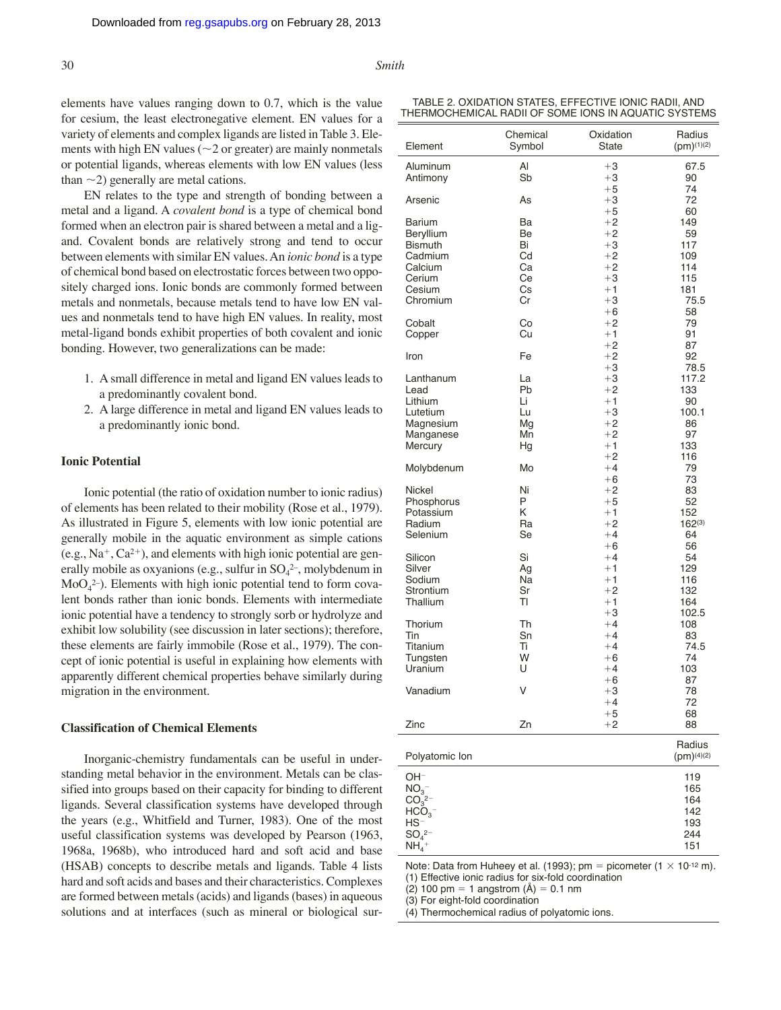elements have values ranging down to 0.7, which is the value for cesium, the least electronegative element. EN values for a variety of elements and complex ligands are listed in Table 3. Elements with high EN values ( $\sim$ 2 or greater) are mainly nonmetals or potential ligands, whereas elements with low EN values (less than  $\sim$ 2) generally are metal cations.

EN relates to the type and strength of bonding between a metal and a ligand. A *covalent bond* is a type of chemical bond formed when an electron pair is shared between a metal and a ligand. Covalent bonds are relatively strong and tend to occur between elements with similar EN values. An *ionic bond* is a type of chemical bond based on electrostatic forces between two oppositely charged ions. Ionic bonds are commonly formed between metals and nonmetals, because metals tend to have low EN values and nonmetals tend to have high EN values. In reality, most metal-ligand bonds exhibit properties of both covalent and ionic bonding. However, two generalizations can be made:

- 1. A small difference in metal and ligand EN values leads to a predominantly covalent bond.
- 2. A large difference in metal and ligand EN values leads to a predominantly ionic bond.

# **Ionic Potential**

Ionic potential (the ratio of oxidation number to ionic radius) of elements has been related to their mobility (Rose et al., 1979). As illustrated in Figure 5, elements with low ionic potential are generally mobile in the aquatic environment as simple cations  $(e.g., Na<sup>+</sup>, Ca<sup>2+</sup>)$ , and elements with high ionic potential are generally mobile as oxyanions (e.g., sulfur in  $SO_4^2$ -, molybdenum in  $MoO<sub>4</sub><sup>2</sup>$ . Elements with high ionic potential tend to form covalent bonds rather than ionic bonds. Elements with intermediate ionic potential have a tendency to strongly sorb or hydrolyze and exhibit low solubility (see discussion in later sections); therefore, these elements are fairly immobile (Rose et al., 1979). The concept of ionic potential is useful in explaining how elements with apparently different chemical properties behave similarly during migration in the environment.

### **Classification of Chemical Elements**

Inorganic-chemistry fundamentals can be useful in understanding metal behavior in the environment. Metals can be classified into groups based on their capacity for binding to different ligands. Several classification systems have developed through the years (e.g., Whitfield and Turner, 1983). One of the most useful classification systems was developed by Pearson (1963, 1968a, 1968b), who introduced hard and soft acid and base (HSAB) concepts to describe metals and ligands. Table 4 lists hard and soft acids and bases and their characteristics. Complexes are formed between metals (acids) and ligands (bases) in aqueous solutions and at interfaces (such as mineral or biological sur-

| TABLE 2. OXIDATION STATES, EFFECTIVE IONIC RADII, AND |
|-------------------------------------------------------|
| THERMOCHEMICAL RADII OF SOME IONS IN AQUATIC SYSTEMS. |

| Element                                                                                                                                                                          | Chemical<br>Symbol                                                                      | Oxidation<br>State                                                                                                                                   | Radius<br>$(pm)^{(1)(2)}$                                                                                                                 |
|----------------------------------------------------------------------------------------------------------------------------------------------------------------------------------|-----------------------------------------------------------------------------------------|------------------------------------------------------------------------------------------------------------------------------------------------------|-------------------------------------------------------------------------------------------------------------------------------------------|
| Aluminum<br>Antimony                                                                                                                                                             | Al<br>Sb                                                                                | $+3$<br>$+3$                                                                                                                                         | 67.5<br>90                                                                                                                                |
| Arsenic                                                                                                                                                                          | As                                                                                      | $+5$<br>$+3$<br>$+5$                                                                                                                                 | 74<br>72<br>60                                                                                                                            |
| Barium<br>Beryllium<br><b>Bismuth</b><br>Cadmium<br>Calcium<br>Cerium<br>Cesium<br>Chromium                                                                                      | Ba<br>Be<br>Bi<br>Cd<br>Сa<br>Ce<br>Cs<br>Cr                                            | $+2$<br>$+2$<br>$+3$<br>$+2$<br>$+2$<br>$+3$<br>$+1$<br>$+3$<br>$+6$                                                                                 | 149<br>59<br>117<br>109<br>114<br>115<br>181<br>75.5<br>58                                                                                |
| Cobalt<br>Copper                                                                                                                                                                 | Co<br>Cu                                                                                | $+2$<br>$+1$                                                                                                                                         | 79<br>91                                                                                                                                  |
| Iron                                                                                                                                                                             | Fe                                                                                      | $+2$<br>$+2$<br>$+3$                                                                                                                                 | 87<br>92<br>78.5                                                                                                                          |
| Lanthanum<br>Lead<br>Lithium<br>Lutetium<br>Magnesium<br>Manganese<br>Mercury                                                                                                    | La<br>Pb<br>Li<br>Lu<br>Mg<br>Mn<br>Hg                                                  | $+3$<br>$+2$<br>$+1$<br>$+3$<br>$+2$<br>$+2$<br>$+1$                                                                                                 | 117.2<br>133<br>90<br>100.1<br>86<br>97<br>133                                                                                            |
| Molybdenum                                                                                                                                                                       | Mo                                                                                      | $+2$<br>$+4$<br>$+6$                                                                                                                                 | 116<br>79<br>73                                                                                                                           |
| Nickel<br>Phosphorus<br>Potassium<br>Radium<br>Selenium<br>Silicon<br>Silver<br>Sodium<br>Strontium<br>Thallium<br>Thorium<br>Tin<br>Titanium<br>Tungsten<br>Uranium<br>Vanadium | Ni<br>P<br>Κ<br>Ra<br>Se<br>Si<br>Ag<br>Na<br>Sr<br>TI<br>Th<br>Sn<br>Ti<br>W<br>U<br>V | $+2$<br>$+5$<br>$+1$<br>$+2$<br>$+4$<br>$+6$<br>$+4$<br>$+1$<br>$+1$<br>$+2$<br>$+1$<br>$+3$<br>$+4$<br>$+4$<br>$+4$<br>$+6$<br>$+4$<br>$+6$<br>$+3$ | 83<br>52<br>152<br>$162^{(3)}$<br>64<br>56<br>54<br>129<br>116<br>132<br>164<br>102.5<br>108<br>83<br>74.5<br>74<br>103<br>87<br>78<br>72 |
| Zinc                                                                                                                                                                             | Zn                                                                                      | $+4$<br>$+5$<br>$+2$                                                                                                                                 | 68<br>88                                                                                                                                  |
| Polyatomic Ion                                                                                                                                                                   |                                                                                         |                                                                                                                                                      | Radius<br>$(pm)^{(4)(2)}$                                                                                                                 |
| $OH-$<br>NO <sub>3</sub><br>$CO_3^{-2-}$<br>HCO <sub>3</sub><br>$HS^-$<br>$SO_4^{2-}$<br>$NH4$ <sup>+</sup>                                                                      |                                                                                         |                                                                                                                                                      | 119<br>165<br>164<br>142<br>193<br>244<br>151                                                                                             |

Note: Data from Huheey et al. (1993); pm = picometer (1  $\times$  10<sup>-12</sup> m). (1) Effective ionic radius for six-fold coordination

 $(2)$  100 pm = 1 angstrom  $(\AA) = 0.1$  nm

(3) For eight-fold coordination

(4) Thermochemical radius of polyatomic ions.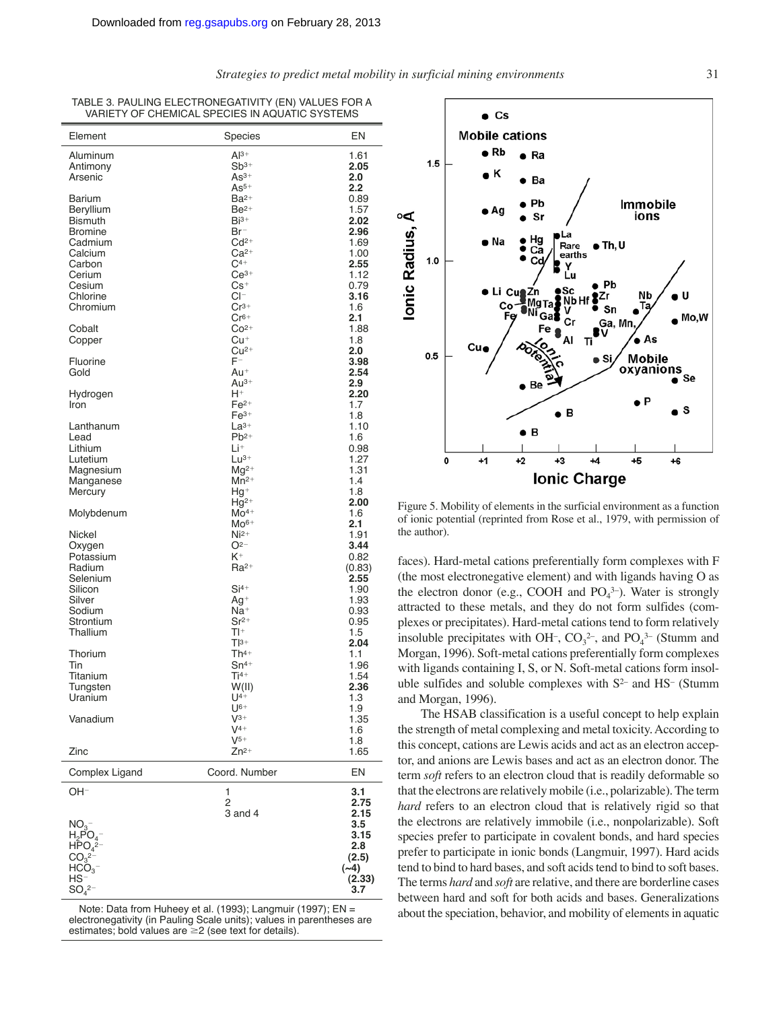*Strategies to predict metal mobility in surficial mining environments* 31

TABLE 3. PAULING ELECTRONEGATIVITY (EN) VALUES FOR A VARIETY OF CHEMICAL SPECIES IN AQUATIC SYSTEMS

| Element                                    | Species            | EN     |
|--------------------------------------------|--------------------|--------|
| Aluminum                                   | $Al^{3+}$          | 1.61   |
| Antimony                                   | $Sb^{3+}$          | 2.05   |
| Arsenic                                    | $\mathsf{As}^{3+}$ | 2.0    |
|                                            | $As5+$             | 2.2    |
| Barium                                     | $Ba2+$             | 0.89   |
| Beryllium                                  | $Be2+$             | 1.57   |
| Bismuth                                    | $Bi^{3+}$          | 2.02   |
|                                            |                    |        |
| <b>Bromine</b>                             | Br-                | 2.96   |
| Cadmium                                    | $Cd2+$             | 1.69   |
| Calcium                                    | $Ca2+$             | 1.00   |
| Carbon                                     | $C^{4+}$           | 2.55   |
| Cerium                                     | $Ce^{3+}$          | 1.12   |
| Cesium                                     | $Cs+$              | 0.79   |
| Chlorine                                   | $Cl^-$             | 3.16   |
| Chromium                                   | $Cr^{3+}$          | 1.6    |
|                                            | $Cr6+$             | 2.1    |
| Cobalt                                     | $Co2+$             | 1.88   |
| Copper                                     | Cu+                | 1.8    |
|                                            | $Cu2+$             | 2.0    |
| Fluorine                                   | $F^-$              | 3.98   |
| Gold                                       | Au+                | 2.54   |
|                                            | $Au^{3+}$          | 2.9    |
| Hydrogen                                   | H+                 | 2.20   |
| Iron                                       | $Fe2+$             | 1.7    |
|                                            | $Fe3+$             | 1.8    |
|                                            |                    |        |
| Lanthanum                                  | $La^{3+}$          | 1.10   |
| Lead                                       | $Pb^{2+}$          | 1.6    |
| Lithium                                    | Li+                | 0.98   |
| Lutetium                                   | $Lu^{3+}$          | 1.27   |
| Magnesium                                  | $Mg^{2+}$          | 1.31   |
| Manganese                                  | $Mn^{2+}$          | 1.4    |
| Mercury                                    | $Hg^+$             | 1.8    |
|                                            | $Hg^{2+}$          | 2.00   |
| Molybdenum                                 | $Mo^{4+}$          | 1.6    |
|                                            | $Mo6+$             | 2.1    |
| Nickel                                     | $Ni2+$             | 1.91   |
| Oxygen                                     | O <sup>2</sup>     | 3.44   |
| Potassium                                  | K+                 | 0.82   |
| Radium                                     | $Ra^{2+}$          | (0.83) |
| Selenium                                   |                    | 2.55   |
| Silicon                                    | $Si4+$             | 1.90   |
|                                            |                    |        |
| Silver                                     | $Ag+$              | 1.93   |
| Sodium                                     | Na+                | 0.93   |
| Strontium                                  | $Sr2+$             | 0.95   |
| Thallium                                   | TI+                | 1.5    |
|                                            | $T 3+$             | 2.04   |
| Thorium                                    | $Th^{4+}$          | 1.1    |
| Tin                                        | $Sn^{4+}$          | 1.96   |
| Titanium                                   | $Ti4+$             | 1.54   |
| Tungsten                                   | W(II)              | 2.36   |
| Uranium                                    | $U^{4+}$           | 1.3    |
|                                            | $U^{6+}$           | 1.9    |
| Vanadium                                   | $V^{3+}$           | 1.35   |
|                                            | $V^{4+}$           | 1.6    |
|                                            | $V^{5+}$           | 1.8    |
| Zinc                                       | $Zn^{2+}$          | 1.65   |
|                                            |                    |        |
| Complex Ligand                             | Coord. Number      | EN     |
|                                            |                    | 3.1    |
| OH-                                        | 1<br>2             |        |
|                                            |                    | 2.75   |
|                                            | 3 and 4            | 2.15   |
| NO <sub>3</sub>                            |                    | 3.5    |
| $H_2$ PO <sub>4</sub>                      |                    | 3.15   |
| $H\text{\rm \small\hat{PO}_{4}}^{\dot{2}}$ |                    | 2.8    |
| CO <sub>3</sub> <sup>2</sup>               |                    | (2.5)  |
| HCO <sub>3</sub>                           |                    | $(-4)$ |
| HS-                                        |                    | (2.33) |
| $SO_4^{2-}$                                |                    | 3.7    |

Note: Data from Huheey et al. (1993); Langmuir (1997); EN = electronegativity (in Pauling Scale units); values in parentheses are estimates; bold values are  $\geq$  (see text for details).



Figure 5. Mobility of elements in the surficial environment as a function of ionic potential (reprinted from Rose et al., 1979, with permission of the author).

faces). Hard-metal cations preferentially form complexes with F (the most electronegative element) and with ligands having O as the electron donor (e.g., COOH and  $PO<sub>4</sub><sup>3-</sup>$ ). Water is strongly attracted to these metals, and they do not form sulfides (complexes or precipitates). Hard-metal cations tend to form relatively insoluble precipitates with OH<sup>-</sup>,  $CO_3^2$ <sup>-</sup>, and  $PO_4^3$ <sup>-</sup> (Stumm and Morgan, 1996). Soft-metal cations preferentially form complexes with ligands containing I, S, or N. Soft-metal cations form insoluble sulfides and soluble complexes with  $S<sup>2</sup>$  and  $HS$  (Stumm and Morgan, 1996).

The HSAB classification is a useful concept to help explain the strength of metal complexing and metal toxicity. According to this concept, cations are Lewis acids and act as an electron acceptor, and anions are Lewis bases and act as an electron donor. The term *soft* refers to an electron cloud that is readily deformable so that the electrons are relatively mobile (i.e., polarizable). The term *hard* refers to an electron cloud that is relatively rigid so that the electrons are relatively immobile (i.e., nonpolarizable). Soft species prefer to participate in covalent bonds, and hard species prefer to participate in ionic bonds (Langmuir, 1997). Hard acids tend to bind to hard bases, and soft acids tend to bind to soft bases. The terms *hard* and *soft* are relative, and there are borderline cases between hard and soft for both acids and bases. Generalizations about the speciation, behavior, and mobility of elements in aquatic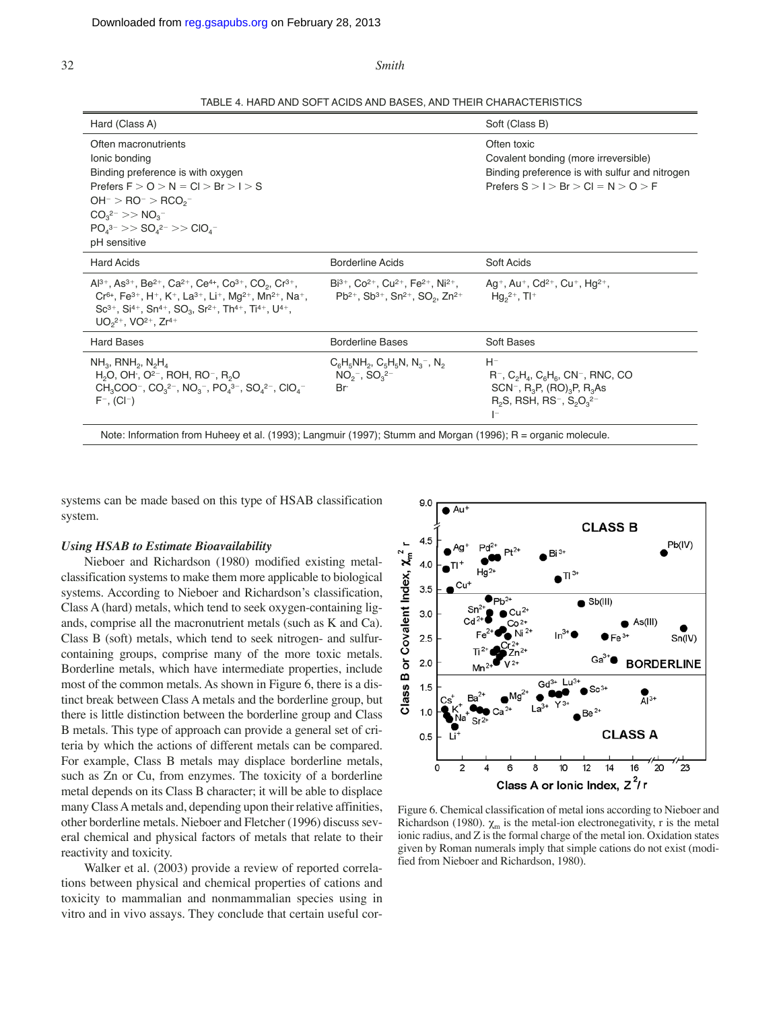|  |  | TABLE 4. HARD AND SOFT ACIDS AND BASES. AND THEIR CHARACTERISTICS |
|--|--|-------------------------------------------------------------------|
|--|--|-------------------------------------------------------------------|

|                                                                                                                                                                                 | Soft (Class B)                                                                                                                                                             |
|---------------------------------------------------------------------------------------------------------------------------------------------------------------------------------|----------------------------------------------------------------------------------------------------------------------------------------------------------------------------|
|                                                                                                                                                                                 | Often toxic<br>Covalent bonding (more irreversible)<br>Binding preference is with sulfur and nitrogen<br>Prefers $S > I > Br > Cl = N > O > F$                             |
| <b>Borderline Acids</b>                                                                                                                                                         | Soft Acids                                                                                                                                                                 |
| $Bi^{3+}$ , Co <sup>2+</sup> , Cu <sup>2+</sup> , Fe <sup>2+</sup> , Ni <sup>2+</sup> ,<br>$Pb^{2+}$ , Sb <sup>3+</sup> , Sn <sup>2+</sup> , SO <sub>2</sub> , Zn <sup>2+</sup> | Ag <sup>+</sup> , Au <sup>+</sup> , Cd <sup>2+</sup> , Cu <sup>+</sup> , Hg <sup>2+</sup> ,<br>$Hq_{2}^{2+}$ , Tl <sup>+</sup>                                             |
| <b>Borderline Bases</b>                                                                                                                                                         | Soft Bases                                                                                                                                                                 |
| $C_6H_5NH_2$ , $C_5H_5N$ , $N_3$ <sup>-</sup> , $N_2$<br>$NO2$ <sup>-</sup> , $SO2$ <sup>2-</sup><br>Br-                                                                        | $H^-$<br>$R^-$ , $C_2H_A$ , $C_6H_6$ , $CN^-$ , RNC, CO<br>SCN-, $R_3P_1$ (RO) $_3P_1R_3As$<br>$R_2S$ , RSH, RS <sup>-</sup> , S <sub>2</sub> O <sub>3</sub> <sup>2-</sup> |
|                                                                                                                                                                                 |                                                                                                                                                                            |

systems can be made based on this type of HSAB classification system.

#### *Using HSAB to Estimate Bioavailability*

Nieboer and Richardson (1980) modified existing metalclassification systems to make them more applicable to biological systems. According to Nieboer and Richardson's classification, Class A (hard) metals, which tend to seek oxygen-containing ligands, comprise all the macronutrient metals (such as K and Ca). Class B (soft) metals, which tend to seek nitrogen- and sulfurcontaining groups, comprise many of the more toxic metals. Borderline metals, which have intermediate properties, include most of the common metals. As shown in Figure 6, there is a distinct break between Class A metals and the borderline group, but there is little distinction between the borderline group and Class B metals. This type of approach can provide a general set of criteria by which the actions of different metals can be compared. For example, Class B metals may displace borderline metals, such as Zn or Cu, from enzymes. The toxicity of a borderline metal depends on its Class B character; it will be able to displace many Class Ametals and, depending upon their relative affinities, other borderline metals. Nieboer and Fletcher (1996) discuss several chemical and physical factors of metals that relate to their reactivity and toxicity.

Walker et al. (2003) provide a review of reported correlations between physical and chemical properties of cations and toxicity to mammalian and nonmammalian species using in vitro and in vivo assays. They conclude that certain useful cor-



Figure 6. Chemical classification of metal ions according to Nieboer and Richardson (1980).  $\chi_{m}$  is the metal-ion electronegativity, r is the metal ionic radius, and Z is the formal charge of the metal ion. Oxidation states given by Roman numerals imply that simple cations do not exist (modified from Nieboer and Richardson, 1980).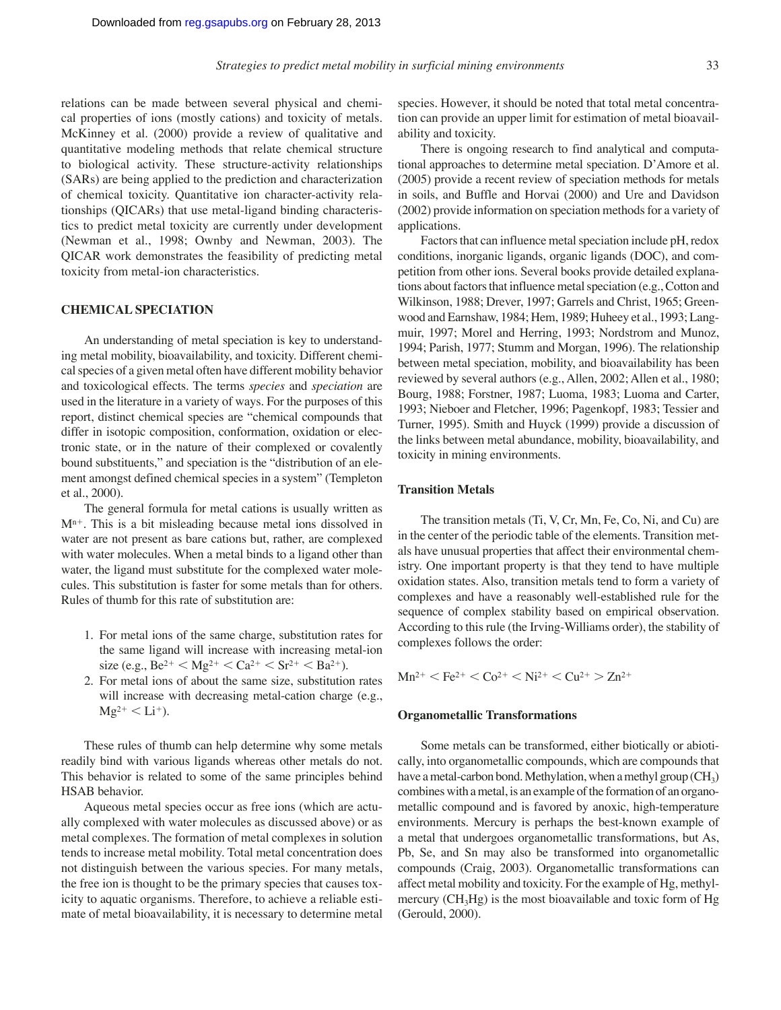relations can be made between several physical and chemical properties of ions (mostly cations) and toxicity of metals. McKinney et al. (2000) provide a review of qualitative and quantitative modeling methods that relate chemical structure to biological activity. These structure-activity relationships (SARs) are being applied to the prediction and characterization of chemical toxicity. Quantitative ion character-activity relationships (QICARs) that use metal-ligand binding characteristics to predict metal toxicity are currently under development (Newman et al., 1998; Ownby and Newman, 2003). The QICAR work demonstrates the feasibility of predicting metal toxicity from metal-ion characteristics.

#### **CHEMICAL SPECIATION**

An understanding of metal speciation is key to understanding metal mobility, bioavailability, and toxicity. Different chemical species of a given metal often have different mobility behavior and toxicological effects. The terms *species* and *speciation* are used in the literature in a variety of ways. For the purposes of this report, distinct chemical species are "chemical compounds that differ in isotopic composition, conformation, oxidation or electronic state, or in the nature of their complexed or covalently bound substituents," and speciation is the "distribution of an element amongst defined chemical species in a system" (Templeton et al., 2000).

The general formula for metal cations is usually written as M<sup>n+</sup>. This is a bit misleading because metal ions dissolved in water are not present as bare cations but, rather, are complexed with water molecules. When a metal binds to a ligand other than water, the ligand must substitute for the complexed water molecules. This substitution is faster for some metals than for others. Rules of thumb for this rate of substitution are:

- 1. For metal ions of the same charge, substitution rates for the same ligand will increase with increasing metal-ion size (e.g.,  $Be^{2+} < Mg^{2+} < Ca^{2+} < Sr^{2+} < Ba^{2+}$ ).
- 2. For metal ions of about the same size, substitution rates will increase with decreasing metal-cation charge (e.g.,  $Mg^{2+} < Li^{+}$ ).

These rules of thumb can help determine why some metals readily bind with various ligands whereas other metals do not. This behavior is related to some of the same principles behind HSAB behavior.

Aqueous metal species occur as free ions (which are actually complexed with water molecules as discussed above) or as metal complexes. The formation of metal complexes in solution tends to increase metal mobility. Total metal concentration does not distinguish between the various species. For many metals, the free ion is thought to be the primary species that causes toxicity to aquatic organisms. Therefore, to achieve a reliable estimate of metal bioavailability, it is necessary to determine metal species. However, it should be noted that total metal concentration can provide an upper limit for estimation of metal bioavailability and toxicity.

There is ongoing research to find analytical and computational approaches to determine metal speciation. D'Amore et al. (2005) provide a recent review of speciation methods for metals in soils, and Buffle and Horvai (2000) and Ure and Davidson (2002) provide information on speciation methods for a variety of applications.

Factors that can influence metal speciation include pH, redox conditions, inorganic ligands, organic ligands (DOC), and competition from other ions. Several books provide detailed explanations about factors that influence metal speciation (e.g., Cotton and Wilkinson, 1988; Drever, 1997; Garrels and Christ, 1965; Greenwood and Earnshaw, 1984; Hem, 1989; Huheey et al., 1993; Langmuir, 1997; Morel and Herring, 1993; Nordstrom and Munoz, 1994; Parish, 1977; Stumm and Morgan, 1996). The relationship between metal speciation, mobility, and bioavailability has been reviewed by several authors (e.g., Allen, 2002; Allen et al., 1980; Bourg, 1988; Forstner, 1987; Luoma, 1983; Luoma and Carter, 1993; Nieboer and Fletcher, 1996; Pagenkopf, 1983; Tessier and Turner, 1995). Smith and Huyck (1999) provide a discussion of the links between metal abundance, mobility, bioavailability, and toxicity in mining environments.

#### **Transition Metals**

The transition metals (Ti, V, Cr, Mn, Fe, Co, Ni, and Cu) are in the center of the periodic table of the elements. Transition metals have unusual properties that affect their environmental chemistry. One important property is that they tend to have multiple oxidation states. Also, transition metals tend to form a variety of complexes and have a reasonably well-established rule for the sequence of complex stability based on empirical observation. According to this rule (the Irving-Williams order), the stability of complexes follows the order:

$$
Mn^{2+} < Fe^{2+} < Co^{2+} < Ni^{2+} < Cu^{2+} > Zn^{2+}
$$

#### **Organometallic Transformations**

Some metals can be transformed, either biotically or abiotically, into organometallic compounds, which are compounds that have a metal-carbon bond. Methylation, when a methyl group  $(CH_3)$ combines with a metal, is an example of the formation of an organometallic compound and is favored by anoxic, high-temperature environments. Mercury is perhaps the best-known example of a metal that undergoes organometallic transformations, but As, Pb, Se, and Sn may also be transformed into organometallic compounds (Craig, 2003). Organometallic transformations can affect metal mobility and toxicity. For the example of Hg, methylmercury  $(CH<sub>3</sub>Hg)$  is the most bioavailable and toxic form of Hg (Gerould, 2000).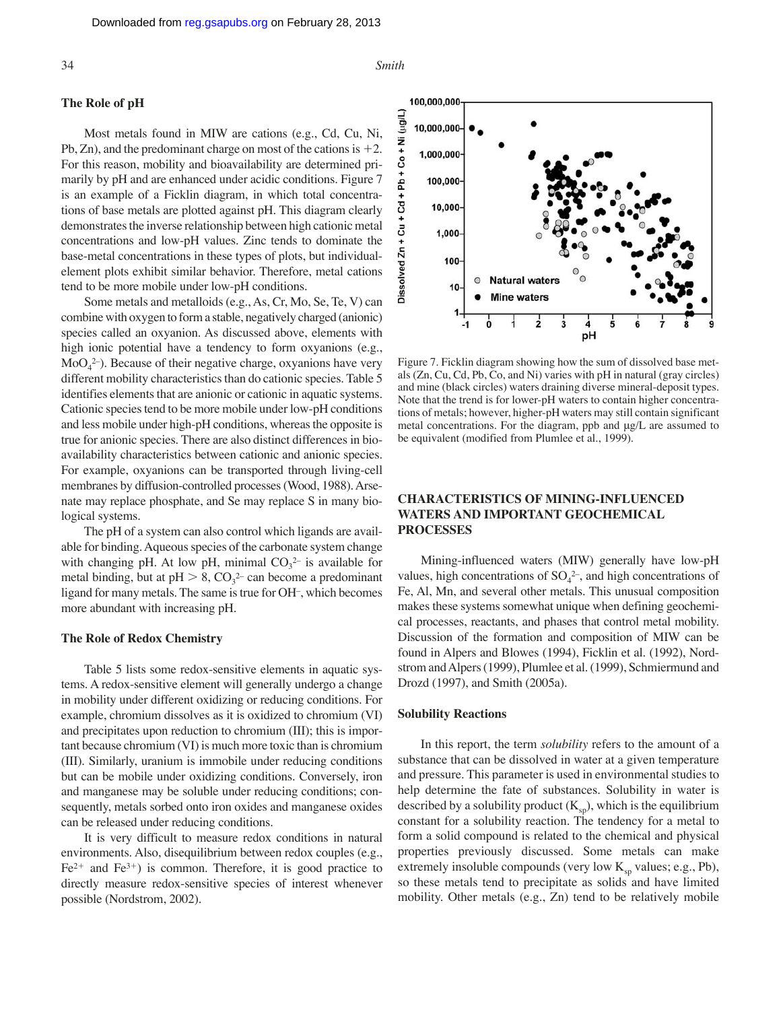### **The Role of pH**

Most metals found in MIW are cations (e.g., Cd, Cu, Ni, Pb, Zn), and the predominant charge on most of the cations is  $+2$ . For this reason, mobility and bioavailability are determined primarily by pH and are enhanced under acidic conditions. Figure 7 is an example of a Ficklin diagram, in which total concentrations of base metals are plotted against pH. This diagram clearly demonstrates the inverse relationship between high cationic metal concentrations and low-pH values. Zinc tends to dominate the base-metal concentrations in these types of plots, but individualelement plots exhibit similar behavior. Therefore, metal cations tend to be more mobile under low-pH conditions.

Some metals and metalloids (e.g., As, Cr, Mo, Se, Te, V) can combine with oxygen to form a stable, negatively charged (anionic) species called an oxyanion. As discussed above, elements with high ionic potential have a tendency to form oxyanions (e.g.,  $MoO<sub>4</sub><sup>2</sup>$ ). Because of their negative charge, oxyanions have very different mobility characteristics than do cationic species. Table 5 identifies elements that are anionic or cationic in aquatic systems. Cationic species tend to be more mobile under low-pH conditions and less mobile under high-pH conditions, whereas the opposite is true for anionic species. There are also distinct differences in bioavailability characteristics between cationic and anionic species. For example, oxyanions can be transported through living-cell membranes by diffusion-controlled processes (Wood, 1988). Arsenate may replace phosphate, and Se may replace S in many biological systems.

The pH of a system can also control which ligands are available for binding. Aqueous species of the carbonate system change with changing pH. At low pH, minimal  $CO<sub>3</sub><sup>2-</sup>$  is available for metal binding, but at  $pH > 8$ ,  $CO<sub>3</sub><sup>2</sup>$  can become a predominant ligand for many metals. The same is true for OH–, which becomes more abundant with increasing pH.

#### **The Role of Redox Chemistry**

Table 5 lists some redox-sensitive elements in aquatic systems. A redox-sensitive element will generally undergo a change in mobility under different oxidizing or reducing conditions. For example, chromium dissolves as it is oxidized to chromium (VI) and precipitates upon reduction to chromium (III); this is important because chromium (VI) is much more toxic than is chromium (III). Similarly, uranium is immobile under reducing conditions but can be mobile under oxidizing conditions. Conversely, iron and manganese may be soluble under reducing conditions; consequently, metals sorbed onto iron oxides and manganese oxides can be released under reducing conditions.

It is very difficult to measure redox conditions in natural environments. Also, disequilibrium between redox couples (e.g.,  $Fe<sup>2+</sup>$  and  $Fe<sup>3+</sup>$ ) is common. Therefore, it is good practice to directly measure redox-sensitive species of interest whenever possible (Nordstrom, 2002).



Figure 7. Ficklin diagram showing how the sum of dissolved base metals (Zn, Cu, Cd, Pb, Co, and Ni) varies with pH in natural (gray circles) and mine (black circles) waters draining diverse mineral-deposit types. Note that the trend is for lower-pH waters to contain higher concentrations of metals; however, higher-pH waters may still contain significant metal concentrations. For the diagram, ppb and μg/L are assumed to be equivalent (modified from Plumlee et al., 1999).

# **CHARACTERISTICS OF MINING-INFLUENCED WATERS AND IMPORTANT GEOCHEMICAL PROCESSES**

Mining-influenced waters (MIW) generally have low-pH values, high concentrations of  $SO_4^2$ , and high concentrations of Fe, Al, Mn, and several other metals. This unusual composition makes these systems somewhat unique when defining geochemical processes, reactants, and phases that control metal mobility. Discussion of the formation and composition of MIW can be found in Alpers and Blowes (1994), Ficklin et al. (1992), Nordstrom and Alpers (1999), Plumlee et al. (1999), Schmiermund and Drozd (1997), and Smith (2005a).

### **Solubility Reactions**

In this report, the term *solubility* refers to the amount of a substance that can be dissolved in water at a given temperature and pressure. This parameter is used in environmental studies to help determine the fate of substances. Solubility in water is described by a solubility product  $(K_{\text{sp}})$ , which is the equilibrium constant for a solubility reaction. The tendency for a metal to form a solid compound is related to the chemical and physical properties previously discussed. Some metals can make extremely insoluble compounds (very low  $K_{\text{sp}}$  values; e.g., Pb), so these metals tend to precipitate as solids and have limited mobility. Other metals (e.g., Zn) tend to be relatively mobile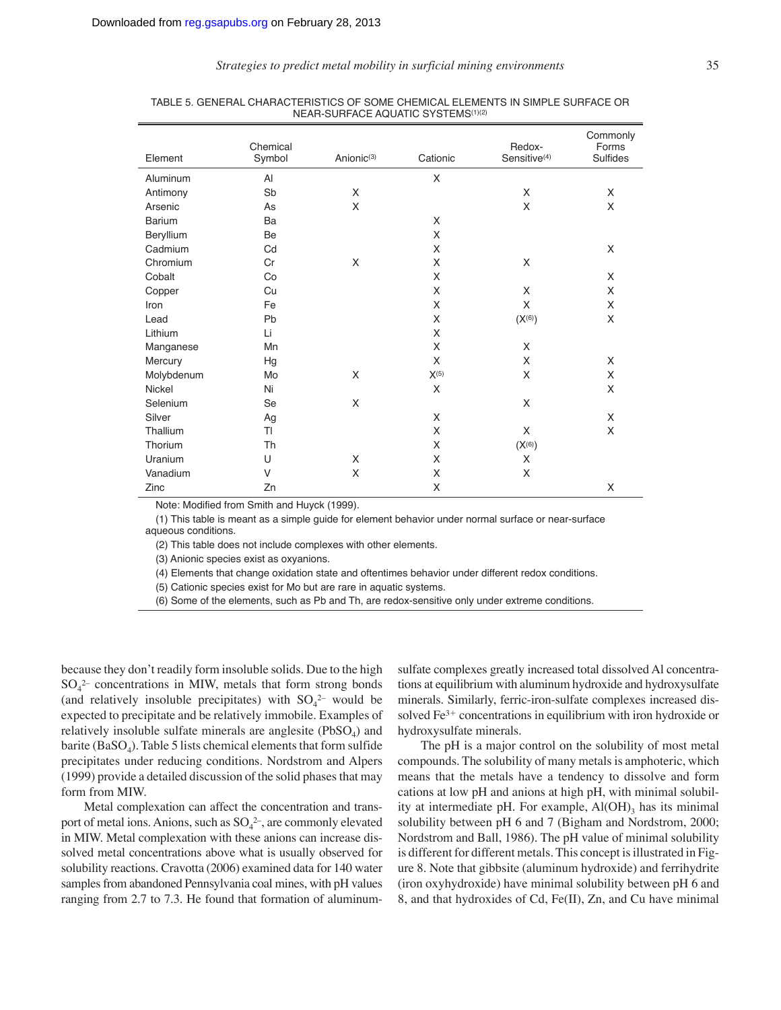#### *Strategies to predict metal mobility in surficial mining environments* 35

| Element       | Chemical<br>Symbol | Anionic <sup>(3)</sup> | Cationic | Redox-<br>Sensitive <sup>(4)</sup> | Commonly<br>Forms<br>Sulfides |
|---------------|--------------------|------------------------|----------|------------------------------------|-------------------------------|
| Aluminum      | AI                 |                        | X        |                                    |                               |
| Antimony      | Sb                 | X                      |          | X                                  | X                             |
| Arsenic       | As                 | X                      |          | X                                  | X                             |
| <b>Barium</b> | Ba                 |                        | X        |                                    |                               |
| Beryllium     | Be                 |                        | X        |                                    |                               |
| Cadmium       | Cd                 |                        | X        |                                    | X                             |
| Chromium      | Cr                 | X                      | X        | X                                  |                               |
| Cobalt        | Co                 |                        | X        |                                    | X                             |
| Copper        | Cu                 |                        | X        | X                                  | X                             |
| Iron          | Fe                 |                        | X        | X                                  | X                             |
| Lead          | Pb                 |                        | X        | $(X^{(6)})$                        | X                             |
| Lithium       | Li                 |                        | X        |                                    |                               |
| Manganese     | Mn                 |                        | X        | X                                  |                               |
| Mercury       | Hg                 |                        | X        | X                                  | X                             |
| Molybdenum    | Mo                 | X                      | X(5)     | X                                  | X                             |
| Nickel        | Ni                 |                        | X        |                                    | X                             |
| Selenium      | Se                 | X                      |          | X                                  |                               |
| Silver        | Ag                 |                        | X        |                                    | X                             |
| Thallium      | ΤI                 |                        | X        | X                                  | X                             |
| Thorium       | <b>Th</b>          |                        | X        | $\left( \mathsf{X}^{(6)}\right)$   |                               |
| Uranium       | U                  | X                      | X        | X                                  |                               |
| Vanadium      | V                  | X                      | X        | X                                  |                               |
| Zinc          | Zn                 |                        | X        |                                    | X                             |

#### TABLE 5. GENERAL CHARACTERISTICS OF SOME CHEMICAL ELEMENTS IN SIMPLE SURFACE OR NEAR-SURFACE AQUATIC SYSTEMS(1)(2)

Note: Modified from Smith and Huyck (1999).

(1) This table is meant as a simple guide for element behavior under normal surface or near-surface aqueous conditions.

(2) This table does not include complexes with other elements.

(3) Anionic species exist as oxyanions.

(4) Elements that change oxidation state and oftentimes behavior under different redox conditions.

(5) Cationic species exist for Mo but are rare in aquatic systems.

(6) Some of the elements, such as Pb and Th, are redox-sensitive only under extreme conditions.

because they don't readily form insoluble solids. Due to the high  $SO_4^2$  concentrations in MIW, metals that form strong bonds (and relatively insoluble precipitates) with  $SO_4^2$  would be expected to precipitate and be relatively immobile. Examples of relatively insoluble sulfate minerals are anglesite  $(PbSO_4)$  and barite (BaSO<sub>4</sub>). Table 5 lists chemical elements that form sulfide precipitates under reducing conditions. Nordstrom and Alpers (1999) provide a detailed discussion of the solid phases that may form from MIW.

Metal complexation can affect the concentration and transport of metal ions. Anions, such as  $SO_4^{2-}$ , are commonly elevated in MIW. Metal complexation with these anions can increase dissolved metal concentrations above what is usually observed for solubility reactions. Cravotta (2006) examined data for 140 water samples from abandoned Pennsylvania coal mines, with pH values ranging from 2.7 to 7.3. He found that formation of aluminumsulfate complexes greatly increased total dissolved Al concentrations at equilibrium with aluminum hydroxide and hydroxysulfate minerals. Similarly, ferric-iron-sulfate complexes increased dissolved Fe<sup>3+</sup> concentrations in equilibrium with iron hydroxide or hydroxysulfate minerals.

The pH is a major control on the solubility of most metal compounds. The solubility of many metals is amphoteric, which means that the metals have a tendency to dissolve and form cations at low pH and anions at high pH, with minimal solubility at intermediate pH. For example,  $Al(OH)$ <sub>3</sub> has its minimal solubility between pH 6 and 7 (Bigham and Nordstrom, 2000; Nordstrom and Ball, 1986). The pH value of minimal solubility is different for different metals. This concept is illustrated in Figure 8. Note that gibbsite (aluminum hydroxide) and ferrihydrite (iron oxyhydroxide) have minimal solubility between pH 6 and 8, and that hydroxides of Cd, Fe(II), Zn, and Cu have minimal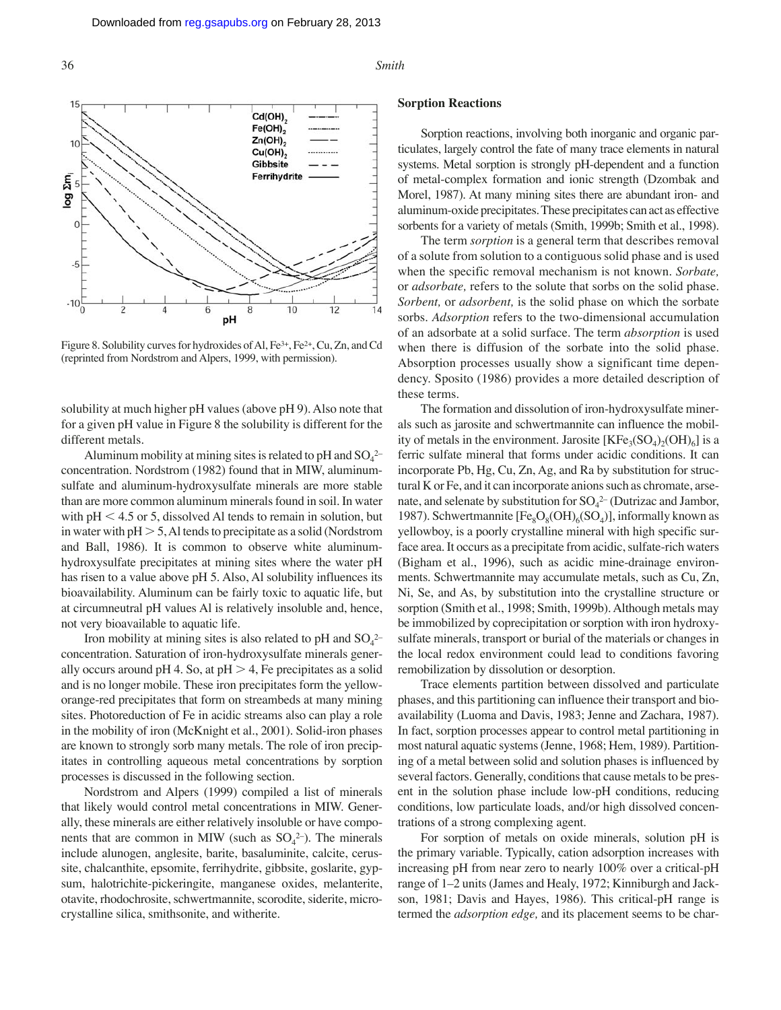



Figure 8. Solubility curves for hydroxides of Al, Fe3+, Fe2+, Cu, Zn, and Cd (reprinted from Nordstrom and Alpers, 1999, with permission).

solubility at much higher pH values (above pH 9). Also note that for a given pH value in Figure 8 the solubility is different for the different metals.

Aluminum mobility at mining sites is related to pH and  $\text{SO}_4{}^{2-}$ concentration. Nordstrom (1982) found that in MIW, aluminumsulfate and aluminum-hydroxysulfate minerals are more stable than are more common aluminum minerals found in soil. In water with  $pH < 4.5$  or 5, dissolved Al tends to remain in solution, but in water with  $pH > 5$ , Al tends to precipitate as a solid (Nordstrom and Ball, 1986). It is common to observe white aluminumhydroxysulfate precipitates at mining sites where the water pH has risen to a value above pH 5. Also, Al solubility influences its bioavailability. Aluminum can be fairly toxic to aquatic life, but at circumneutral pH values Al is relatively insoluble and, hence, not very bioavailable to aquatic life.

Iron mobility at mining sites is also related to pH and  $SO_4^{2-}$ concentration. Saturation of iron-hydroxysulfate minerals generally occurs around pH 4. So, at  $pH > 4$ , Fe precipitates as a solid and is no longer mobile. These iron precipitates form the yelloworange-red precipitates that form on streambeds at many mining sites. Photoreduction of Fe in acidic streams also can play a role in the mobility of iron (McKnight et al., 2001). Solid-iron phases are known to strongly sorb many metals. The role of iron precipitates in controlling aqueous metal concentrations by sorption processes is discussed in the following section.

Nordstrom and Alpers (1999) compiled a list of minerals that likely would control metal concentrations in MIW. Generally, these minerals are either relatively insoluble or have components that are common in MIW (such as  $SO_4^2$ ). The minerals include alunogen, anglesite, barite, basaluminite, calcite, cerussite, chalcanthite, epsomite, ferrihydrite, gibbsite, goslarite, gypsum, halotrichite-pickeringite, manganese oxides, melanterite, otavite, rhodochrosite, schwertmannite, scorodite, siderite, microcrystalline silica, smithsonite, and witherite.

# **Sorption Reactions**

Sorption reactions, involving both inorganic and organic particulates, largely control the fate of many trace elements in natural systems. Metal sorption is strongly pH-dependent and a function of metal-complex formation and ionic strength (Dzombak and Morel, 1987). At many mining sites there are abundant iron- and aluminum-oxide precipitates. These precipitates can act as effective sorbents for a variety of metals (Smith, 1999b; Smith et al., 1998).

The term *sorption* is a general term that describes removal of a solute from solution to a contiguous solid phase and is used when the specific removal mechanism is not known. *Sorbate,* or *adsorbate,* refers to the solute that sorbs on the solid phase. *Sorbent,* or *adsorbent,* is the solid phase on which the sorbate sorbs. *Adsorption* refers to the two-dimensional accumulation of an adsorbate at a solid surface. The term *absorption* is used when there is diffusion of the sorbate into the solid phase. Absorption processes usually show a significant time dependency. Sposito (1986) provides a more detailed description of these terms.

The formation and dissolution of iron-hydroxysulfate minerals such as jarosite and schwertmannite can influence the mobility of metals in the environment. Jarosite  $[KFe<sub>3</sub>(SO<sub>4</sub>)<sub>2</sub>(OH)<sub>6</sub>]$  is a ferric sulfate mineral that forms under acidic conditions. It can incorporate Pb, Hg, Cu, Zn, Ag, and Ra by substitution for structural K or Fe, and it can incorporate anions such as chromate, arsenate, and selenate by substitution for  $\mathrm{SO}_4{}^{2-}$  (Dutrizac and Jambor, 1987). Schwertmannite  $[Fe_8O_8(OH)_6(SO_4)]$ , informally known as yellowboy, is a poorly crystalline mineral with high specific surface area. It occurs as a precipitate from acidic, sulfate-rich waters (Bigham et al., 1996), such as acidic mine-drainage environments. Schwertmannite may accumulate metals, such as Cu, Zn, Ni, Se, and As, by substitution into the crystalline structure or sorption (Smith et al., 1998; Smith, 1999b). Although metals may be immobilized by coprecipitation or sorption with iron hydroxysulfate minerals, transport or burial of the materials or changes in the local redox environment could lead to conditions favoring remobilization by dissolution or desorption.

Trace elements partition between dissolved and particulate phases, and this partitioning can influence their transport and bioavailability (Luoma and Davis, 1983; Jenne and Zachara, 1987). In fact, sorption processes appear to control metal partitioning in most natural aquatic systems (Jenne, 1968; Hem, 1989). Partitioning of a metal between solid and solution phases is influenced by several factors. Generally, conditions that cause metals to be present in the solution phase include low-pH conditions, reducing conditions, low particulate loads, and/or high dissolved concentrations of a strong complexing agent.

For sorption of metals on oxide minerals, solution pH is the primary variable. Typically, cation adsorption increases with increasing pH from near zero to nearly 100% over a critical-pH range of 1–2 units (James and Healy, 1972; Kinniburgh and Jackson, 1981; Davis and Hayes, 1986). This critical-pH range is termed the *adsorption edge,* and its placement seems to be char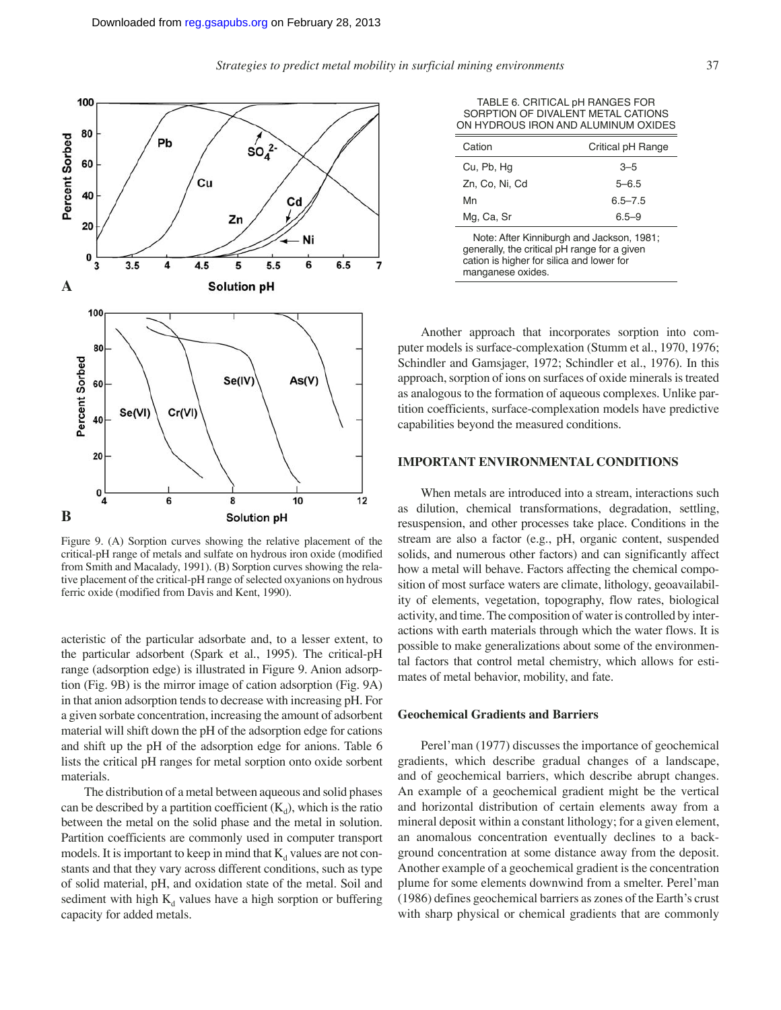$\mathsf{so}_{4}^{2}$ 

 $5.5$ 

 $Cd$ 

6

 $6.5$ 

7

*Strategies to predict metal mobility in surficial mining environments* 37



**A**

Percent Sorbed

100

80

60

40

20

0 3

100

 $3.5$ 

Pb

 $\overline{a}$ 

Cu

4.5

Zn

5

Solution pH

Figure 9. (A) Sorption curves showing the relative placement of the critical-pH range of metals and sulfate on hydrous iron oxide (modified from Smith and Macalady, 1991). (B) Sorption curves showing the relative placement of the critical-pH range of selected oxyanions on hydrous ferric oxide (modified from Davis and Kent, 1990).

acteristic of the particular adsorbate and, to a lesser extent, to the particular adsorbent (Spark et al., 1995). The critical-pH range (adsorption edge) is illustrated in Figure 9. Anion adsorption (Fig. 9B) is the mirror image of cation adsorption (Fig. 9A) in that anion adsorption tends to decrease with increasing pH. For a given sorbate concentration, increasing the amount of adsorbent material will shift down the pH of the adsorption edge for cations and shift up the pH of the adsorption edge for anions. Table 6 lists the critical pH ranges for metal sorption onto oxide sorbent materials.

The distribution of a metal between aqueous and solid phases can be described by a partition coefficient  $(K_d)$ , which is the ratio between the metal on the solid phase and the metal in solution. Partition coefficients are commonly used in computer transport models. It is important to keep in mind that  $K_d$  values are not constants and that they vary across different conditions, such as type of solid material, pH, and oxidation state of the metal. Soil and sediment with high  $K_d$  values have a high sorption or buffering capacity for added metals.

TABLE 6. CRITICAL pH RANGES FOR SORPTION OF DIVALENT METAL CATIONS ON HYDROUS IRON AND ALUMINUM OXIDES

| Cation                                                                                      | Critical pH Range |  |
|---------------------------------------------------------------------------------------------|-------------------|--|
| Cu, Pb, Hq                                                                                  | $3 - 5$           |  |
| Zn, Co, Ni, Cd                                                                              | $5 - 6.5$         |  |
| Mn                                                                                          | $6.5 - 7.5$       |  |
| Mg, Ca, Sr                                                                                  | $6.5 - 9$         |  |
| Note: After Kinniburgh and Jackson, 1981;<br>concrelly the exitient of License for a civier |                   |  |

generally, the critical pH range for a given cation is higher for silica and lower for manganese oxides.

Another approach that incorporates sorption into computer models is surface-complexation (Stumm et al., 1970, 1976; Schindler and Gamsjager, 1972; Schindler et al., 1976). In this approach, sorption of ions on surfaces of oxide minerals is treated as analogous to the formation of aqueous complexes. Unlike partition coefficients, surface-complexation models have predictive capabilities beyond the measured conditions.

# **IMPORTANT ENVIRONMENTAL CONDITIONS**

When metals are introduced into a stream, interactions such as dilution, chemical transformations, degradation, settling, resuspension, and other processes take place. Conditions in the stream are also a factor (e.g., pH, organic content, suspended solids, and numerous other factors) and can significantly affect how a metal will behave. Factors affecting the chemical composition of most surface waters are climate, lithology, geoavailability of elements, vegetation, topography, flow rates, biological activity, and time. The composition of water is controlled by interactions with earth materials through which the water flows. It is possible to make generalizations about some of the environmental factors that control metal chemistry, which allows for estimates of metal behavior, mobility, and fate.

### **Geochemical Gradients and Barriers**

Perel'man (1977) discusses the importance of geochemical gradients, which describe gradual changes of a landscape, and of geochemical barriers, which describe abrupt changes. An example of a geochemical gradient might be the vertical and horizontal distribution of certain elements away from a mineral deposit within a constant lithology; for a given element, an anomalous concentration eventually declines to a background concentration at some distance away from the deposit. Another example of a geochemical gradient is the concentration plume for some elements downwind from a smelter. Perel'man (1986) defines geochemical barriers as zones of the Earth's crust with sharp physical or chemical gradients that are commonly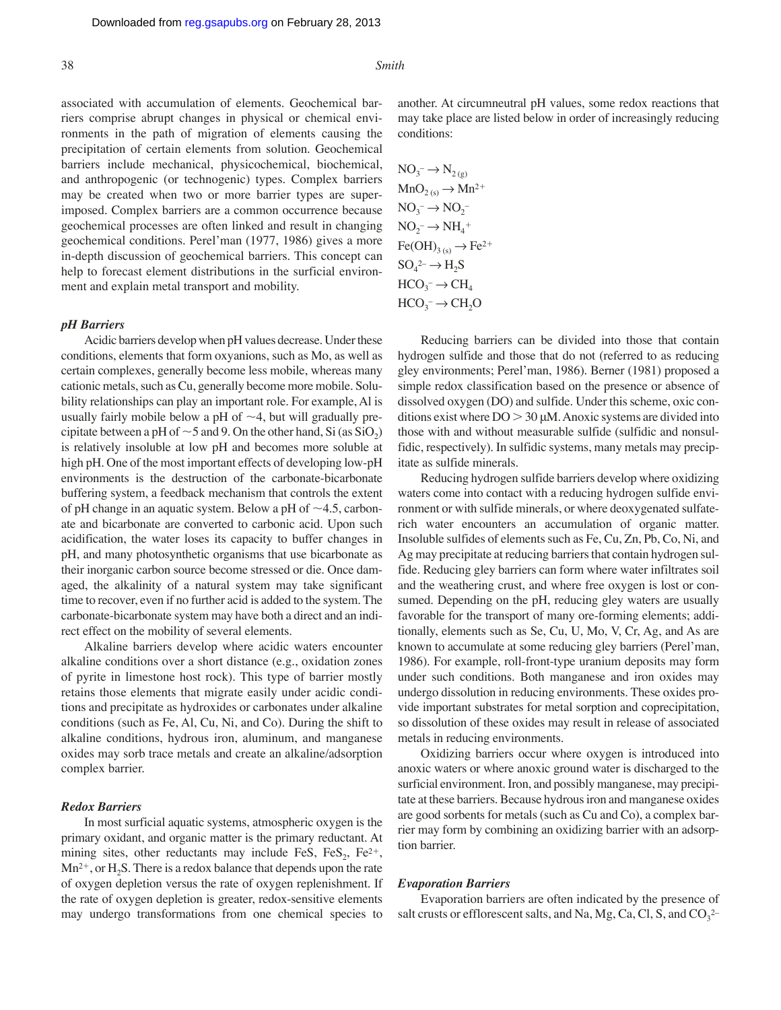associated with accumulation of elements. Geochemical barriers comprise abrupt changes in physical or chemical environments in the path of migration of elements causing the precipitation of certain elements from solution. Geochemical barriers include mechanical, physicochemical, biochemical, and anthropogenic (or technogenic) types. Complex barriers may be created when two or more barrier types are superimposed. Complex barriers are a common occurrence because geochemical processes are often linked and result in changing geochemical conditions. Perel'man (1977, 1986) gives a more in-depth discussion of geochemical barriers. This concept can help to forecast element distributions in the surficial environment and explain metal transport and mobility.

#### *pH Barriers*

Acidic barriers develop when pH values decrease. Under these conditions, elements that form oxyanions, such as Mo, as well as certain complexes, generally become less mobile, whereas many cationic metals, such as Cu, generally become more mobile. Solubility relationships can play an important role. For example, Al is usually fairly mobile below a pH of  $\sim$ 4, but will gradually precipitate between a pH of  $\sim$  5 and 9. On the other hand, Si (as SiO<sub>2</sub>) is relatively insoluble at low pH and becomes more soluble at high pH. One of the most important effects of developing low-pH environments is the destruction of the carbonate-bicarbonate buffering system, a feedback mechanism that controls the extent of pH change in an aquatic system. Below a pH of  $\sim$ 4.5, carbonate and bicarbonate are converted to carbonic acid. Upon such acidification, the water loses its capacity to buffer changes in pH, and many photosynthetic organisms that use bicarbonate as their inorganic carbon source become stressed or die. Once damaged, the alkalinity of a natural system may take significant time to recover, even if no further acid is added to the system. The carbonate-bicarbonate system may have both a direct and an indirect effect on the mobility of several elements.

Alkaline barriers develop where acidic waters encounter alkaline conditions over a short distance (e.g., oxidation zones of pyrite in limestone host rock). This type of barrier mostly retains those elements that migrate easily under acidic conditions and precipitate as hydroxides or carbonates under alkaline conditions (such as Fe, Al, Cu, Ni, and Co). During the shift to alkaline conditions, hydrous iron, aluminum, and manganese oxides may sorb trace metals and create an alkaline/adsorption complex barrier.

#### *Redox Barriers*

In most surficial aquatic systems, atmospheric oxygen is the primary oxidant, and organic matter is the primary reductant. At mining sites, other reductants may include FeS,  $FeS_2$ ,  $Fe<sup>2+</sup>$ ,  $Mn^{2+}$ , or  $H_2S$ . There is a redox balance that depends upon the rate of oxygen depletion versus the rate of oxygen replenishment. If the rate of oxygen depletion is greater, redox-sensitive elements may undergo transformations from one chemical species to

another. At circumneutral pH values, some redox reactions that may take place are listed below in order of increasingly reducing conditions:

$$
NO_3^- \rightarrow N_{2(g)}
$$
  
\n
$$
MnO_{2(s)} \rightarrow Mn^{2+}
$$
  
\n
$$
NO_3^- \rightarrow NO_2^-
$$
  
\n
$$
NO_2^- \rightarrow NH_4^+
$$
  
\n
$$
Fe(OH)_{3(s)} \rightarrow Fe^{2+}
$$
  
\n
$$
SO_4^{2-} \rightarrow H_2S
$$
  
\n
$$
HCO_3^- \rightarrow CH_4
$$
  
\n
$$
HCO_3^- \rightarrow CH_2O
$$

Reducing barriers can be divided into those that contain hydrogen sulfide and those that do not (referred to as reducing gley environments; Perel'man, 1986). Berner (1981) proposed a simple redox classification based on the presence or absence of dissolved oxygen (DO) and sulfide. Under this scheme, oxic conditions exist where  $DO > 30 \mu M$ . Anoxic systems are divided into those with and without measurable sulfide (sulfidic and nonsulfidic, respectively). In sulfidic systems, many metals may precipitate as sulfide minerals.

Reducing hydrogen sulfide barriers develop where oxidizing waters come into contact with a reducing hydrogen sulfide environment or with sulfide minerals, or where deoxygenated sulfaterich water encounters an accumulation of organic matter. Insoluble sulfides of elements such as Fe, Cu, Zn, Pb, Co, Ni, and Ag may precipitate at reducing barriers that contain hydrogen sulfide. Reducing gley barriers can form where water infiltrates soil and the weathering crust, and where free oxygen is lost or consumed. Depending on the pH, reducing gley waters are usually favorable for the transport of many ore-forming elements; additionally, elements such as Se, Cu, U, Mo, V, Cr, Ag, and As are known to accumulate at some reducing gley barriers (Perel'man, 1986). For example, roll-front-type uranium deposits may form under such conditions. Both manganese and iron oxides may undergo dissolution in reducing environments. These oxides provide important substrates for metal sorption and coprecipitation, so dissolution of these oxides may result in release of associated metals in reducing environments.

Oxidizing barriers occur where oxygen is introduced into anoxic waters or where anoxic ground water is discharged to the surficial environment. Iron, and possibly manganese, may precipitate at these barriers. Because hydrous iron and manganese oxides are good sorbents for metals (such as Cu and Co), a complex barrier may form by combining an oxidizing barrier with an adsorption barrier.

### *Evaporation Barriers*

Evaporation barriers are often indicated by the presence of salt crusts or efflorescent salts, and Na, Mg, Ca, Cl, S, and  $CO_3^2$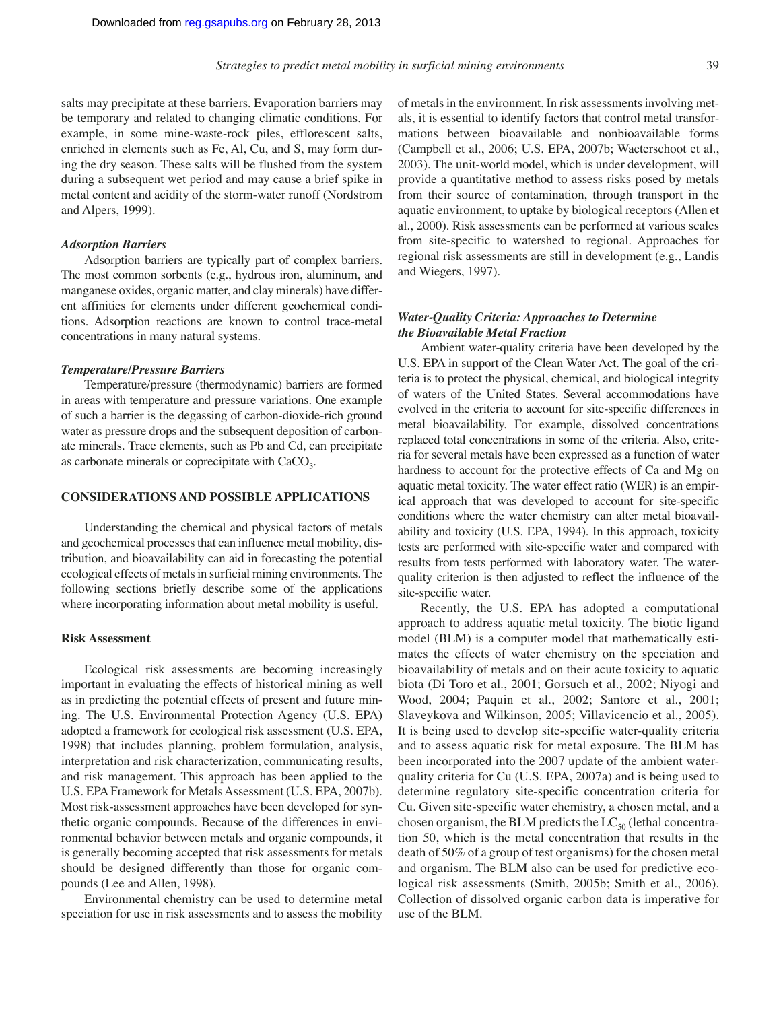salts may precipitate at these barriers. Evaporation barriers may be temporary and related to changing climatic conditions. For example, in some mine-waste-rock piles, efflorescent salts, enriched in elements such as Fe, Al, Cu, and S, may form during the dry season. These salts will be flushed from the system during a subsequent wet period and may cause a brief spike in metal content and acidity of the storm-water runoff (Nordstrom and Alpers, 1999).

#### *Adsorption Barriers*

Adsorption barriers are typically part of complex barriers. The most common sorbents (e.g., hydrous iron, aluminum, and manganese oxides, organic matter, and clay minerals) have different affinities for elements under different geochemical conditions. Adsorption reactions are known to control trace-metal concentrations in many natural systems.

#### *Temperature/Pressure Barriers*

Temperature/pressure (thermodynamic) barriers are formed in areas with temperature and pressure variations. One example of such a barrier is the degassing of carbon-dioxide-rich ground water as pressure drops and the subsequent deposition of carbonate minerals. Trace elements, such as Pb and Cd, can precipitate as carbonate minerals or coprecipitate with  $CaCO<sub>3</sub>$ .

# **CONSIDERATIONS AND POSSIBLE APPLICATIONS**

Understanding the chemical and physical factors of metals and geochemical processes that can influence metal mobility, distribution, and bioavailability can aid in forecasting the potential ecological effects of metals in surficial mining environments. The following sections briefly describe some of the applications where incorporating information about metal mobility is useful.

#### **Risk Assessment**

Ecological risk assessments are becoming increasingly important in evaluating the effects of historical mining as well as in predicting the potential effects of present and future mining. The U.S. Environmental Protection Agency (U.S. EPA) adopted a framework for ecological risk assessment (U.S. EPA, 1998) that includes planning, problem formulation, analysis, interpretation and risk characterization, communicating results, and risk management. This approach has been applied to the U.S. EPA Framework for Metals Assessment (U.S. EPA, 2007b). Most risk-assessment approaches have been developed for synthetic organic compounds. Because of the differences in environmental behavior between metals and organic compounds, it is generally becoming accepted that risk assessments for metals should be designed differently than those for organic compounds (Lee and Allen, 1998).

Environmental chemistry can be used to determine metal speciation for use in risk assessments and to assess the mobility of metals in the environment. In risk assessments involving metals, it is essential to identify factors that control metal transformations between bioavailable and nonbioavailable forms (Campbell et al., 2006; U.S. EPA, 2007b; Waeterschoot et al., 2003). The unit-world model, which is under development, will provide a quantitative method to assess risks posed by metals from their source of contamination, through transport in the aquatic environment, to uptake by biological receptors (Allen et al., 2000). Risk assessments can be performed at various scales from site-specific to watershed to regional. Approaches for regional risk assessments are still in development (e.g., Landis and Wiegers, 1997).

# *Water-Quality Criteria: Approaches to Determine the Bioavailable Metal Fraction*

Ambient water-quality criteria have been developed by the U.S. EPA in support of the Clean Water Act. The goal of the criteria is to protect the physical, chemical, and biological integrity of waters of the United States. Several accommodations have evolved in the criteria to account for site-specific differences in metal bioavailability. For example, dissolved concentrations replaced total concentrations in some of the criteria. Also, criteria for several metals have been expressed as a function of water hardness to account for the protective effects of Ca and Mg on aquatic metal toxicity. The water effect ratio (WER) is an empirical approach that was developed to account for site-specific conditions where the water chemistry can alter metal bioavailability and toxicity (U.S. EPA, 1994). In this approach, toxicity tests are performed with site-specific water and compared with results from tests performed with laboratory water. The waterquality criterion is then adjusted to reflect the influence of the site-specific water.

Recently, the U.S. EPA has adopted a computational approach to address aquatic metal toxicity. The biotic ligand model (BLM) is a computer model that mathematically estimates the effects of water chemistry on the speciation and bioavailability of metals and on their acute toxicity to aquatic biota (Di Toro et al., 2001; Gorsuch et al., 2002; Niyogi and Wood, 2004; Paquin et al., 2002; Santore et al., 2001; Slaveykova and Wilkinson, 2005; Villavicencio et al., 2005). It is being used to develop site-specific water-quality criteria and to assess aquatic risk for metal exposure. The BLM has been incorporated into the 2007 update of the ambient waterquality criteria for Cu (U.S. EPA, 2007a) and is being used to determine regulatory site-specific concentration criteria for Cu. Given site-specific water chemistry, a chosen metal, and a chosen organism, the BLM predicts the  $LC_{50}$  (lethal concentration 50, which is the metal concentration that results in the death of 50% of a group of test organisms) for the chosen metal and organism. The BLM also can be used for predictive ecological risk assessments (Smith, 2005b; Smith et al., 2006). Collection of dissolved organic carbon data is imperative for use of the BLM.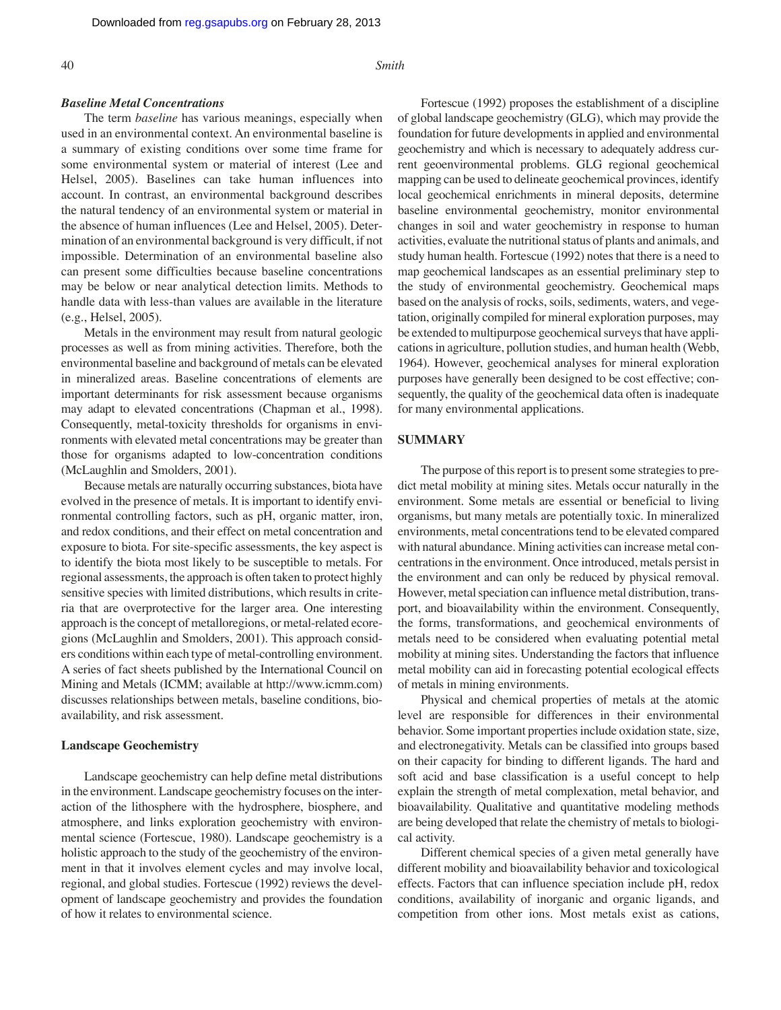#### *Baseline Metal Concentrations*

The term *baseline* has various meanings, especially when used in an environmental context. An environmental baseline is a summary of existing conditions over some time frame for some environmental system or material of interest (Lee and Helsel, 2005). Baselines can take human influences into account. In contrast, an environmental background describes the natural tendency of an environmental system or material in the absence of human influences (Lee and Helsel, 2005). Determination of an environmental background is very difficult, if not impossible. Determination of an environmental baseline also can present some difficulties because baseline concentrations may be below or near analytical detection limits. Methods to handle data with less-than values are available in the literature (e.g., Helsel, 2005).

Metals in the environment may result from natural geologic processes as well as from mining activities. Therefore, both the environmental baseline and background of metals can be elevated in mineralized areas. Baseline concentrations of elements are important determinants for risk assessment because organisms may adapt to elevated concentrations (Chapman et al., 1998). Consequently, metal-toxicity thresholds for organisms in environments with elevated metal concentrations may be greater than those for organisms adapted to low-concentration conditions (McLaughlin and Smolders, 2001).

Because metals are naturally occurring substances, biota have evolved in the presence of metals. It is important to identify environmental controlling factors, such as pH, organic matter, iron, and redox conditions, and their effect on metal concentration and exposure to biota. For site-specific assessments, the key aspect is to identify the biota most likely to be susceptible to metals. For regional assessments, the approach is often taken to protect highly sensitive species with limited distributions, which results in criteria that are overprotective for the larger area. One interesting approach is the concept of metalloregions, or metal-related ecoregions (McLaughlin and Smolders, 2001). This approach considers conditions within each type of metal-controlling environment. A series of fact sheets published by the International Council on Mining and Metals (ICMM; available at http://www.icmm.com) discusses relationships between metals, baseline conditions, bioavailability, and risk assessment.

#### **Landscape Geochemistry**

Landscape geochemistry can help define metal distributions in the environment. Landscape geochemistry focuses on the interaction of the lithosphere with the hydrosphere, biosphere, and atmosphere, and links exploration geochemistry with environmental science (Fortescue, 1980). Landscape geochemistry is a holistic approach to the study of the geochemistry of the environment in that it involves element cycles and may involve local, regional, and global studies. Fortescue (1992) reviews the development of landscape geochemistry and provides the foundation of how it relates to environmental science.

Fortescue (1992) proposes the establishment of a discipline of global landscape geochemistry (GLG), which may provide the foundation for future developments in applied and environmental geochemistry and which is necessary to adequately address current geoenvironmental problems. GLG regional geochemical mapping can be used to delineate geochemical provinces, identify local geochemical enrichments in mineral deposits, determine baseline environmental geochemistry, monitor environmental changes in soil and water geochemistry in response to human activities, evaluate the nutritional status of plants and animals, and study human health. Fortescue (1992) notes that there is a need to map geochemical landscapes as an essential preliminary step to the study of environmental geochemistry. Geochemical maps based on the analysis of rocks, soils, sediments, waters, and vegetation, originally compiled for mineral exploration purposes, may be extended to multipurpose geochemical surveys that have applications in agriculture, pollution studies, and human health (Webb, 1964). However, geochemical analyses for mineral exploration purposes have generally been designed to be cost effective; consequently, the quality of the geochemical data often is inadequate for many environmental applications.

# **SUMMARY**

The purpose of this report is to present some strategies to predict metal mobility at mining sites. Metals occur naturally in the environment. Some metals are essential or beneficial to living organisms, but many metals are potentially toxic. In mineralized environments, metal concentrations tend to be elevated compared with natural abundance. Mining activities can increase metal concentrations in the environment. Once introduced, metals persist in the environment and can only be reduced by physical removal. However, metal speciation can influence metal distribution, transport, and bioavailability within the environment. Consequently, the forms, transformations, and geochemical environments of metals need to be considered when evaluating potential metal mobility at mining sites. Understanding the factors that influence metal mobility can aid in forecasting potential ecological effects of metals in mining environments.

Physical and chemical properties of metals at the atomic level are responsible for differences in their environmental behavior. Some important properties include oxidation state, size, and electronegativity. Metals can be classified into groups based on their capacity for binding to different ligands. The hard and soft acid and base classification is a useful concept to help explain the strength of metal complexation, metal behavior, and bioavailability. Qualitative and quantitative modeling methods are being developed that relate the chemistry of metals to biological activity.

Different chemical species of a given metal generally have different mobility and bioavailability behavior and toxicological effects. Factors that can influence speciation include pH, redox conditions, availability of inorganic and organic ligands, and competition from other ions. Most metals exist as cations,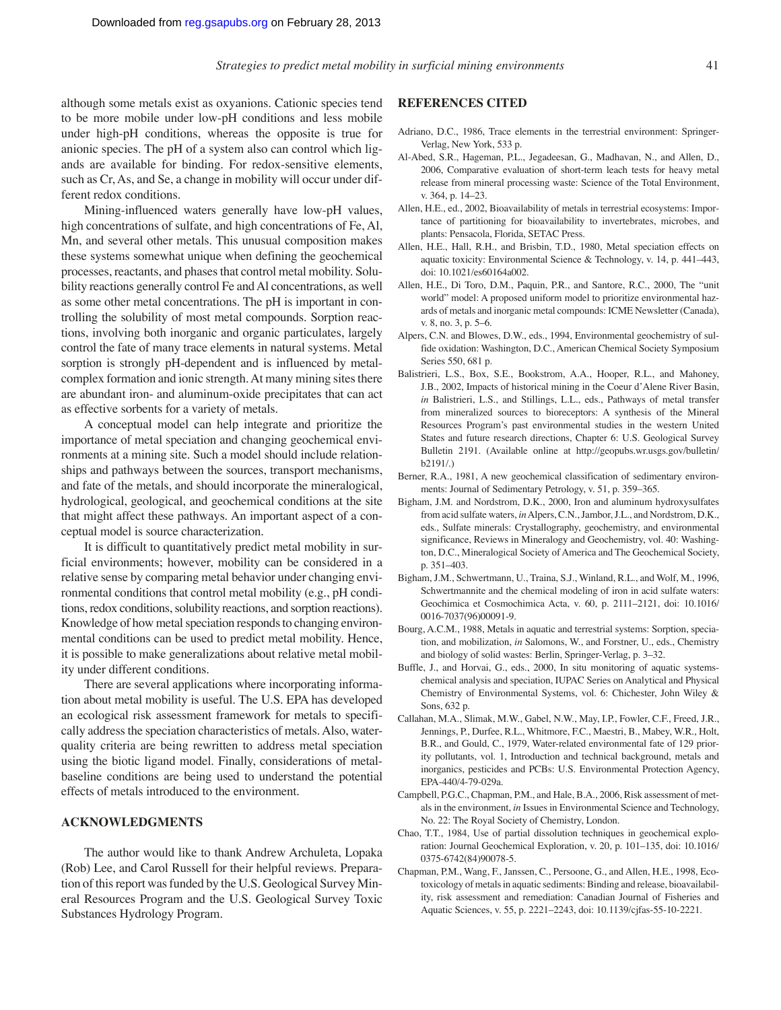although some metals exist as oxyanions. Cationic species tend to be more mobile under low-pH conditions and less mobile under high-pH conditions, whereas the opposite is true for anionic species. The pH of a system also can control which ligands are available for binding. For redox-sensitive elements, such as Cr, As, and Se, a change in mobility will occur under different redox conditions.

Mining-influenced waters generally have low-pH values, high concentrations of sulfate, and high concentrations of Fe, Al, Mn, and several other metals. This unusual composition makes these systems somewhat unique when defining the geochemical processes, reactants, and phases that control metal mobility. Solubility reactions generally control Fe and Al concentrations, as well as some other metal concentrations. The pH is important in controlling the solubility of most metal compounds. Sorption reactions, involving both inorganic and organic particulates, largely control the fate of many trace elements in natural systems. Metal sorption is strongly pH-dependent and is influenced by metalcomplex formation and ionic strength. At many mining sites there are abundant iron- and aluminum-oxide precipitates that can act as effective sorbents for a variety of metals.

A conceptual model can help integrate and prioritize the importance of metal speciation and changing geochemical environments at a mining site. Such a model should include relationships and pathways between the sources, transport mechanisms, and fate of the metals, and should incorporate the mineralogical, hydrological, geological, and geochemical conditions at the site that might affect these pathways. An important aspect of a conceptual model is source characterization.

It is difficult to quantitatively predict metal mobility in surficial environments; however, mobility can be considered in a relative sense by comparing metal behavior under changing environmental conditions that control metal mobility (e.g., pH conditions, redox conditions, solubility reactions, and sorption reactions). Knowledge of how metal speciation responds to changing environmental conditions can be used to predict metal mobility. Hence, it is possible to make generalizations about relative metal mobility under different conditions.

There are several applications where incorporating information about metal mobility is useful. The U.S. EPA has developed an ecological risk assessment framework for metals to specifically address the speciation characteristics of metals. Also, waterquality criteria are being rewritten to address metal speciation using the biotic ligand model. Finally, considerations of metalbaseline conditions are being used to understand the potential effects of metals introduced to the environment.

# **ACKNOWLEDGMENTS**

The author would like to thank Andrew Archuleta, Lopaka (Rob) Lee, and Carol Russell for their helpful reviews. Preparation of this report was funded by the U.S. Geological Survey Mineral Resources Program and the U.S. Geological Survey Toxic Substances Hydrology Program.

#### **REFERENCES CITED**

- Adriano, D.C., 1986, Trace elements in the terrestrial environment: Springer-Verlag, New York, 533 p.
- Al-Abed, S.R., Hageman, P.L., Jegadeesan, G., Madhavan, N., and Allen, D., 2006, Comparative evaluation of short-term leach tests for heavy metal release from mineral processing waste: Science of the Total Environment, v. 364, p. 14–23.
- Allen, H.E., ed., 2002, Bioavailability of metals in terrestrial ecosystems: Importance of partitioning for bioavailability to invertebrates, microbes, and plants: Pensacola, Florida, SETAC Press.
- Allen, H.E., Hall, R.H., and Brisbin, T.D., 1980, Metal speciation effects on aquatic toxicity: Environmental Science & Technology, v. 14, p. 441–443, doi: 10.1021/es60164a002.
- Allen, H.E., Di Toro, D.M., Paquin, P.R., and Santore, R.C., 2000, The "unit world" model: A proposed uniform model to prioritize environmental hazards of metals and inorganic metal compounds: ICME Newsletter (Canada), v. 8, no. 3, p. 5–6.
- Alpers, C.N. and Blowes, D.W., eds., 1994, Environmental geochemistry of sulfide oxidation: Washington, D.C., American Chemical Society Symposium Series 550, 681 p.
- Balistrieri, L.S., Box, S.E., Bookstrom, A.A., Hooper, R.L., and Mahoney, J.B., 2002, Impacts of historical mining in the Coeur d'Alene River Basin, *in* Balistrieri, L.S., and Stillings, L.L., eds., Pathways of metal transfer from mineralized sources to bioreceptors: A synthesis of the Mineral Resources Program's past environmental studies in the western United States and future research directions, Chapter 6: U.S. Geological Survey Bulletin 2191. (Available online at http://geopubs.wr.usgs.gov/bulletin/ b2191/.)
- Berner, R.A., 1981, A new geochemical classification of sedimentary environments: Journal of Sedimentary Petrology, v. 51, p. 359–365.
- Bigham, J.M. and Nordstrom, D.K., 2000, Iron and aluminum hydroxysulfates from acid sulfate waters, *in*Alpers, C.N., Jambor, J.L., and Nordstrom, D.K., eds., Sulfate minerals: Crystallography, geochemistry, and environmental significance, Reviews in Mineralogy and Geochemistry, vol. 40: Washington, D.C., Mineralogical Society of America and The Geochemical Society, p. 351–403.
- Bigham, J.M., Schwertmann, U., Traina, S.J., Winland, R.L., and Wolf, M., 1996, Schwertmannite and the chemical modeling of iron in acid sulfate waters: Geochimica et Cosmochimica Acta, v. 60, p. 2111–2121, doi: 10.1016/ 0016-7037(96)00091-9.
- Bourg, A.C.M., 1988, Metals in aquatic and terrestrial systems: Sorption, speciation, and mobilization, *in* Salomons, W., and Forstner, U., eds., Chemistry and biology of solid wastes: Berlin, Springer-Verlag, p. 3–32.
- Buffle, J., and Horvai, G., eds., 2000, In situ monitoring of aquatic systemschemical analysis and speciation, IUPAC Series on Analytical and Physical Chemistry of Environmental Systems, vol. 6: Chichester, John Wiley & Sons, 632 p.
- Callahan, M.A., Slimak, M.W., Gabel, N.W., May, I.P., Fowler, C.F., Freed, J.R., Jennings, P., Durfee, R.L., Whitmore, F.C., Maestri, B., Mabey, W.R., Holt, B.R., and Gould, C., 1979, Water-related environmental fate of 129 priority pollutants, vol. 1, Introduction and technical background, metals and inorganics, pesticides and PCBs: U.S. Environmental Protection Agency, EPA-440/4-79-029a.
- Campbell, P.G.C., Chapman, P.M., and Hale, B.A., 2006, Risk assessment of metals in the environment, *in* Issues in Environmental Science and Technology, No. 22: The Royal Society of Chemistry, London.
- Chao, T.T., 1984, Use of partial dissolution techniques in geochemical exploration: Journal Geochemical Exploration, v. 20, p. 101–135, doi: 10.1016/ 0375-6742(84)90078-5.
- Chapman, P.M., Wang, F., Janssen, C., Persoone, G., and Allen, H.E., 1998, Ecotoxicology of metals in aquatic sediments: Binding and release, bioavailability, risk assessment and remediation: Canadian Journal of Fisheries and Aquatic Sciences, v. 55, p. 2221–2243, doi: 10.1139/cjfas-55-10-2221.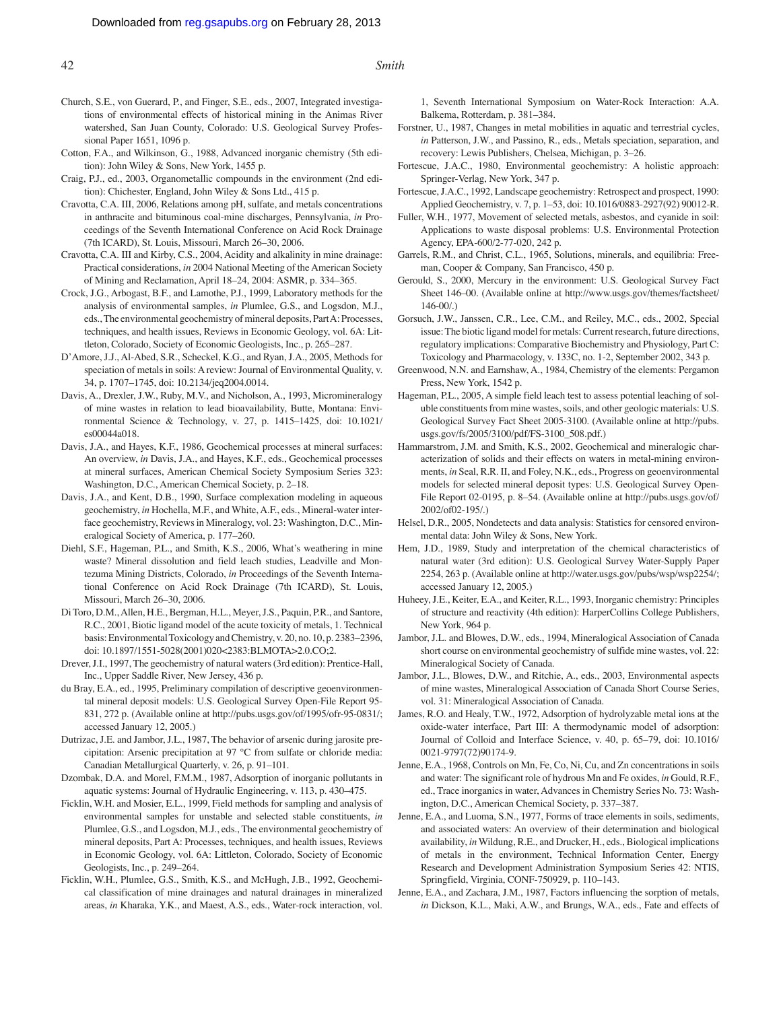- Church, S.E., von Guerard, P., and Finger, S.E., eds., 2007, Integrated investigations of environmental effects of historical mining in the Animas River watershed, San Juan County, Colorado: U.S. Geological Survey Professional Paper 1651, 1096 p.
- Cotton, F.A., and Wilkinson, G., 1988, Advanced inorganic chemistry (5th edition): John Wiley & Sons, New York, 1455 p.
- Craig, P.J., ed., 2003, Organometallic compounds in the environment (2nd edition): Chichester, England, John Wiley & Sons Ltd., 415 p.
- Cravotta, C.A. III, 2006, Relations among pH, sulfate, and metals concentrations in anthracite and bituminous coal-mine discharges, Pennsylvania, *in* Proceedings of the Seventh International Conference on Acid Rock Drainage (7th ICARD), St. Louis, Missouri, March 26–30, 2006.
- Cravotta, C.A. III and Kirby, C.S., 2004, Acidity and alkalinity in mine drainage: Practical considerations, *in* 2004 National Meeting of the American Society of Mining and Reclamation, April 18–24, 2004: ASMR, p. 334–365.
- Crock, J.G., Arbogast, B.F., and Lamothe, P.J., 1999, Laboratory methods for the analysis of environmental samples, *in* Plumlee, G.S., and Logsdon, M.J., eds.,The environmental geochemistry of mineral deposits, PartA: Processes, techniques, and health issues, Reviews in Economic Geology, vol. 6A: Littleton, Colorado, Society of Economic Geologists, Inc., p. 265–287.
- D'Amore, J.J., Al-Abed, S.R., Scheckel, K.G., and Ryan, J.A., 2005, Methods for speciation of metals in soils: A review: Journal of Environmental Quality, v. 34, p. 1707–1745, doi: 10.2134/jeq2004.0014.
- Davis, A., Drexler, J.W., Ruby, M.V., and Nicholson, A., 1993, Micromineralogy of mine wastes in relation to lead bioavailability, Butte, Montana: Environmental Science & Technology, v. 27, p. 1415–1425, doi: 10.1021/ es00044a018.
- Davis, J.A., and Hayes, K.F., 1986, Geochemical processes at mineral surfaces: An overview, *in* Davis, J.A., and Hayes, K.F., eds., Geochemical processes at mineral surfaces, American Chemical Society Symposium Series 323: Washington, D.C., American Chemical Society, p. 2–18.
- Davis, J.A., and Kent, D.B., 1990, Surface complexation modeling in aqueous geochemistry, *in* Hochella, M.F., and White, A.F., eds., Mineral-water interface geochemistry, Reviews in Mineralogy, vol. 23: Washington, D.C., Mineralogical Society of America, p. 177–260.
- Diehl, S.F., Hageman, P.L., and Smith, K.S., 2006, What's weathering in mine waste? Mineral dissolution and field leach studies, Leadville and Montezuma Mining Districts, Colorado, *in* Proceedings of the Seventh International Conference on Acid Rock Drainage (7th ICARD), St. Louis, Missouri, March 26–30, 2006.
- Di Toro, D.M.,Allen, H.E., Bergman, H.L., Meyer, J.S., Paquin, P.R., and Santore, R.C., 2001, Biotic ligand model of the acute toxicity of metals, 1. Technical basis: Environmental Toxicology and Chemistry, v. 20, no. 10, p. 2383-2396, doi: 10.1897/1551-5028(2001)020<2383:BLMOTA>2.0.CO;2.
- Drever, J.I., 1997, The geochemistry of natural waters (3rd edition): Prentice-Hall, Inc., Upper Saddle River, New Jersey, 436 p.
- du Bray, E.A., ed., 1995, Preliminary compilation of descriptive geoenvironmental mineral deposit models: U.S. Geological Survey Open-File Report 95- 831, 272 p. (Available online at http://pubs.usgs.gov/of/1995/ofr-95-0831/; accessed January 12, 2005.)
- Dutrizac, J.E. and Jambor, J.L., 1987, The behavior of arsenic during jarosite precipitation: Arsenic precipitation at 97 °C from sulfate or chloride media: Canadian Metallurgical Quarterly, v. 26, p. 91–101.
- Dzombak, D.A. and Morel, F.M.M., 1987, Adsorption of inorganic pollutants in aquatic systems: Journal of Hydraulic Engineering, v. 113, p. 430–475.
- Ficklin, W.H. and Mosier, E.L., 1999, Field methods for sampling and analysis of environmental samples for unstable and selected stable constituents, *in* Plumlee, G.S., and Logsdon, M.J., eds., The environmental geochemistry of mineral deposits, Part A: Processes, techniques, and health issues, Reviews in Economic Geology, vol. 6A: Littleton, Colorado, Society of Economic Geologists, Inc., p. 249–264.
- Ficklin, W.H., Plumlee, G.S., Smith, K.S., and McHugh, J.B., 1992, Geochemical classification of mine drainages and natural drainages in mineralized areas, *in* Kharaka, Y.K., and Maest, A.S., eds., Water-rock interaction, vol.

1, Seventh International Symposium on Water-Rock Interaction: A.A. Balkema, Rotterdam, p. 381–384.

- Forstner, U., 1987, Changes in metal mobilities in aquatic and terrestrial cycles, *in* Patterson, J.W., and Passino, R., eds., Metals speciation, separation, and recovery: Lewis Publishers, Chelsea, Michigan, p. 3–26.
- Fortescue, J.A.C., 1980, Environmental geochemistry: A holistic approach: Springer-Verlag, New York, 347 p.
- Fortescue, J.A.C., 1992, Landscape geochemistry: Retrospect and prospect, 1990: Applied Geochemistry, v. 7, p. 1–53, doi: 10.1016/0883-2927(92) 90012-R.
- Fuller, W.H., 1977, Movement of selected metals, asbestos, and cyanide in soil: Applications to waste disposal problems: U.S. Environmental Protection Agency, EPA-600/2-77-020, 242 p.
- Garrels, R.M., and Christ, C.L., 1965, Solutions, minerals, and equilibria: Freeman, Cooper & Company, San Francisco, 450 p.
- Gerould, S., 2000, Mercury in the environment: U.S. Geological Survey Fact Sheet 146–00. (Available online at http://www.usgs.gov/themes/factsheet/ 146-00/.)
- Gorsuch, J.W., Janssen, C.R., Lee, C.M., and Reiley, M.C., eds., 2002, Special issue: The biotic ligand model for metals: Current research, future directions, regulatory implications: Comparative Biochemistry and Physiology, Part C: Toxicology and Pharmacology, v. 133C, no. 1-2, September 2002, 343 p.
- Greenwood, N.N. and Earnshaw, A., 1984, Chemistry of the elements: Pergamon Press, New York, 1542 p.
- Hageman, P.L., 2005, A simple field leach test to assess potential leaching of soluble constituents from mine wastes, soils, and other geologic materials: U.S. Geological Survey Fact Sheet 2005-3100. (Available online at http://pubs. usgs.gov/fs/2005/3100/pdf/FS-3100\_508.pdf.)
- Hammarstrom, J.M. and Smith, K.S., 2002, Geochemical and mineralogic characterization of solids and their effects on waters in metal-mining environments, *in* Seal, R.R. II, and Foley, N.K., eds., Progress on geoenvironmental models for selected mineral deposit types: U.S. Geological Survey Open-File Report 02-0195, p. 8–54. (Available online at http://pubs.usgs.gov/of/ 2002/of02-195/.)
- Helsel, D.R., 2005, Nondetects and data analysis: Statistics for censored environmental data: John Wiley & Sons, New York.
- Hem, J.D., 1989, Study and interpretation of the chemical characteristics of natural water (3rd edition): U.S. Geological Survey Water-Supply Paper 2254, 263 p. (Available online at http://water.usgs.gov/pubs/wsp/wsp2254/; accessed January 12, 2005.)
- Huheey, J.E., Keiter, E.A., and Keiter, R.L., 1993, Inorganic chemistry: Principles of structure and reactivity (4th edition): HarperCollins College Publishers, New York, 964 p.
- Jambor, J.L. and Blowes, D.W., eds., 1994, Mineralogical Association of Canada short course on environmental geochemistry of sulfide mine wastes, vol. 22: Mineralogical Society of Canada.
- Jambor, J.L., Blowes, D.W., and Ritchie, A., eds., 2003, Environmental aspects of mine wastes, Mineralogical Association of Canada Short Course Series, vol. 31: Mineralogical Association of Canada.
- James, R.O. and Healy, T.W., 1972, Adsorption of hydrolyzable metal ions at the oxide-water interface, Part III: A thermodynamic model of adsorption: Journal of Colloid and Interface Science, v. 40, p. 65–79, doi: 10.1016/ 0021-9797(72)90174-9.
- Jenne, E.A., 1968, Controls on Mn, Fe, Co, Ni, Cu, and Zn concentrations in soils and water: The significant role of hydrous Mn and Fe oxides, *in* Gould, R.F., ed., Trace inorganics in water, Advances in Chemistry Series No. 73: Washington, D.C., American Chemical Society, p. 337–387.
- Jenne, E.A., and Luoma, S.N., 1977, Forms of trace elements in soils, sediments, and associated waters: An overview of their determination and biological availability, *in*Wildung, R.E., and Drucker, H., eds., Biological implications of metals in the environment, Technical Information Center, Energy Research and Development Administration Symposium Series 42: NTIS, Springfield, Virginia, CONF-750929, p. 110–143.
- Jenne, E.A., and Zachara, J.M., 1987, Factors influencing the sorption of metals, *in* Dickson, K.L., Maki, A.W., and Brungs, W.A., eds., Fate and effects of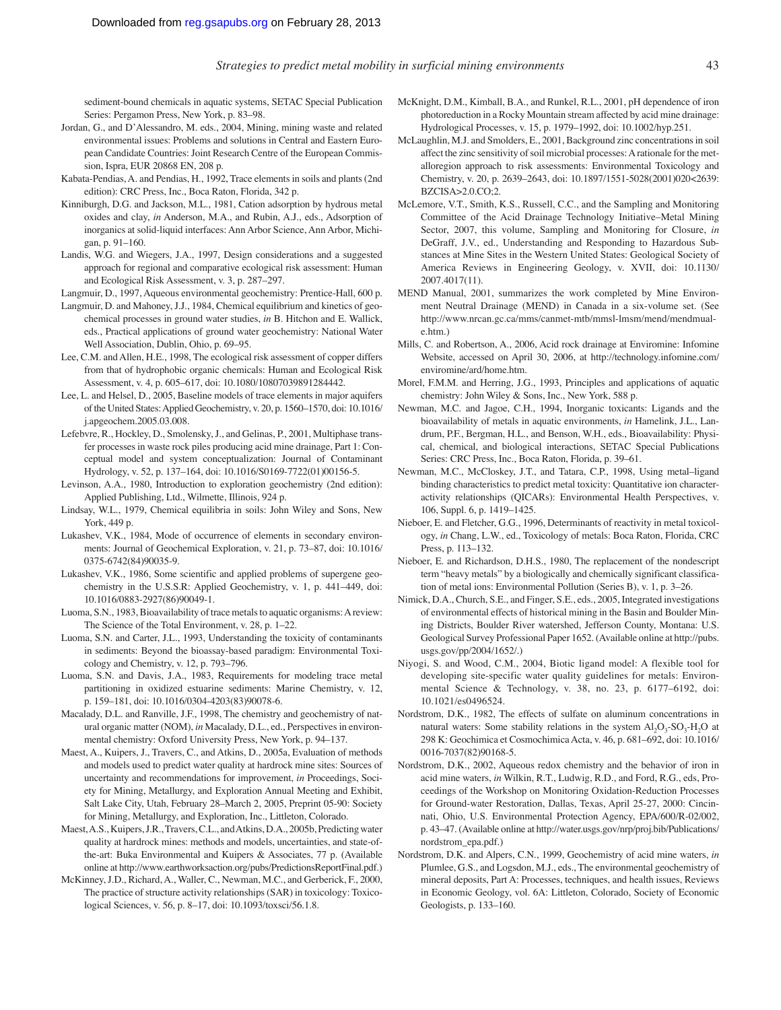sediment-bound chemicals in aquatic systems, SETAC Special Publication Series: Pergamon Press, New York, p. 83–98.

- Jordan, G., and D'Alessandro, M. eds., 2004, Mining, mining waste and related environmental issues: Problems and solutions in Central and Eastern European Candidate Countries: Joint Research Centre of the European Commission, Ispra, EUR 20868 EN, 208 p.
- Kabata-Pendias, A. and Pendias, H., 1992, Trace elements in soils and plants (2nd edition): CRC Press, Inc., Boca Raton, Florida, 342 p.
- Kinniburgh, D.G. and Jackson, M.L., 1981, Cation adsorption by hydrous metal oxides and clay, *in* Anderson, M.A., and Rubin, A.J., eds., Adsorption of inorganics at solid-liquid interfaces: Ann Arbor Science, Ann Arbor, Michigan, p. 91–160.
- Landis, W.G. and Wiegers, J.A., 1997, Design considerations and a suggested approach for regional and comparative ecological risk assessment: Human and Ecological Risk Assessment, v. 3, p. 287–297.

Langmuir, D., 1997, Aqueous environmental geochemistry: Prentice-Hall, 600 p.

- Langmuir, D. and Mahoney, J.J., 1984, Chemical equilibrium and kinetics of geochemical processes in ground water studies, *in* B. Hitchon and E. Wallick, eds., Practical applications of ground water geochemistry: National Water Well Association, Dublin, Ohio, p. 69–95.
- Lee, C.M. and Allen, H.E., 1998, The ecological risk assessment of copper differs from that of hydrophobic organic chemicals: Human and Ecological Risk Assessment, v. 4, p. 605–617, doi: 10.1080/10807039891284442.
- Lee, L. and Helsel, D., 2005, Baseline models of trace elements in major aquifers of the United States: Applied Geochemistry, v. 20, p. 1560–1570, doi: 10.1016/ j.apgeochem.2005.03.008.
- Lefebvre, R., Hockley, D., Smolensky, J., and Gelinas, P., 2001, Multiphase transfer processes in waste rock piles producing acid mine drainage, Part 1: Conceptual model and system conceptualization: Journal of Contaminant Hydrology, v. 52, p. 137–164, doi: 10.1016/S0169-7722(01)00156-5.
- Levinson, A.A., 1980, Introduction to exploration geochemistry (2nd edition): Applied Publishing, Ltd., Wilmette, Illinois, 924 p.
- Lindsay, W.L., 1979, Chemical equilibria in soils: John Wiley and Sons, New York, 449 p.
- Lukashev, V.K., 1984, Mode of occurrence of elements in secondary environments: Journal of Geochemical Exploration, v. 21, p. 73–87, doi: 10.1016/ 0375-6742(84)90035-9.
- Lukashev, V.K., 1986, Some scientific and applied problems of supergene geochemistry in the U.S.S.R: Applied Geochemistry, v. 1, p. 441–449, doi: 10.1016/0883-2927(86)90049-1.
- Luoma, S.N., 1983, Bioavailability of trace metals to aquatic organisms: Areview: The Science of the Total Environment, v. 28, p. 1–22.
- Luoma, S.N. and Carter, J.L., 1993, Understanding the toxicity of contaminants in sediments: Beyond the bioassay-based paradigm: Environmental Toxicology and Chemistry, v. 12, p. 793–796.
- Luoma, S.N. and Davis, J.A., 1983, Requirements for modeling trace metal partitioning in oxidized estuarine sediments: Marine Chemistry, v. 12, p. 159–181, doi: 10.1016/0304-4203(83)90078-6.
- Macalady, D.L. and Ranville, J.F., 1998, The chemistry and geochemistry of natural organic matter (NOM), *in* Macalady, D.L., ed., Perspectives in environmental chemistry: Oxford University Press, New York, p. 94–137.
- Maest, A., Kuipers, J., Travers, C., and Atkins, D., 2005a, Evaluation of methods and models used to predict water quality at hardrock mine sites: Sources of uncertainty and recommendations for improvement, *in* Proceedings, Society for Mining, Metallurgy, and Exploration Annual Meeting and Exhibit, Salt Lake City, Utah, February 28–March 2, 2005, Preprint 05-90: Society for Mining, Metallurgy, and Exploration, Inc., Littleton, Colorado.
- Maest,A.S.,Kuipers,J.R.,Travers,C.L.,andAtkins,D.A.,2005b,Predictingwater quality at hardrock mines: methods and models, uncertainties, and state-ofthe-art: Buka Environmental and Kuipers & Associates, 77 p. (Available online at http://www.earthworksaction.org/pubs/PredictionsReportFinal.pdf.)
- McKinney, J.D., Richard, A., Waller, C., Newman, M.C., and Gerberick, F., 2000, The practice of structure activity relationships (SAR) in toxicology: Toxicological Sciences, v. 56, p. 8–17, doi: 10.1093/toxsci/56.1.8.
- McKnight, D.M., Kimball, B.A., and Runkel, R.L., 2001, pH dependence of iron photoreduction in a Rocky Mountain stream affected by acid mine drainage: Hydrological Processes, v. 15, p. 1979–1992, doi: 10.1002/hyp.251.
- McLaughlin, M.J. and Smolders, E., 2001, Background zinc concentrations in soil affect the zinc sensitivity of soil microbial processes: Arationale for the metalloregion approach to risk assessments: Environmental Toxicology and Chemistry, v. 20, p. 2639–2643, doi: 10.1897/1551-5028(2001)020<2639: BZCISA>2.0.CO;2.
- McLemore, V.T., Smith, K.S., Russell, C.C., and the Sampling and Monitoring Committee of the Acid Drainage Technology Initiative–Metal Mining Sector, 2007, this volume, Sampling and Monitoring for Closure, *in* DeGraff, J.V., ed., Understanding and Responding to Hazardous Substances at Mine Sites in the Western United States: Geological Society of America Reviews in Engineering Geology, v. XVII, doi: 10.1130/ 2007.4017(11).
- MEND Manual, 2001, summarizes the work completed by Mine Environment Neutral Drainage (MEND) in Canada in a six-volume set. (See http://www.nrcan.gc.ca/mms/canmet-mtb/mmsl-lmsm/mend/mendmuale.htm.)
- Mills, C. and Robertson, A., 2006, Acid rock drainage at Enviromine: Infomine Website, accessed on April 30, 2006, at http://technology.infomine.com/ enviromine/ard/home.htm.
- Morel, F.M.M. and Herring, J.G., 1993, Principles and applications of aquatic chemistry: John Wiley & Sons, Inc., New York, 588 p.
- Newman, M.C. and Jagoe, C.H., 1994, Inorganic toxicants: Ligands and the bioavailability of metals in aquatic environments, *in* Hamelink, J.L., Landrum, P.F., Bergman, H.L., and Benson, W.H., eds., Bioavailability: Physical, chemical, and biological interactions, SETAC Special Publications Series: CRC Press, Inc., Boca Raton, Florida, p. 39–61.
- Newman, M.C., McCloskey, J.T., and Tatara, C.P., 1998, Using metal–ligand binding characteristics to predict metal toxicity: Quantitative ion characteractivity relationships (QICARs): Environmental Health Perspectives, v. 106, Suppl. 6, p. 1419–1425.
- Nieboer, E. and Fletcher, G.G., 1996, Determinants of reactivity in metal toxicology, *in* Chang, L.W., ed., Toxicology of metals: Boca Raton, Florida, CRC Press, p. 113–132.
- Nieboer, E. and Richardson, D.H.S., 1980, The replacement of the nondescript term "heavy metals" by a biologically and chemically significant classification of metal ions: Environmental Pollution (Series B), v. 1, p. 3–26.
- Nimick, D.A., Church, S.E., and Finger, S.E., eds., 2005, Integrated investigations of environmental effects of historical mining in the Basin and Boulder Mining Districts, Boulder River watershed, Jefferson County, Montana: U.S. Geological Survey Professional Paper 1652. (Available online at http://pubs. usgs.gov/pp/2004/1652/.)
- Niyogi, S. and Wood, C.M., 2004, Biotic ligand model: A flexible tool for developing site-specific water quality guidelines for metals: Environmental Science & Technology, v. 38, no. 23, p. 6177–6192, doi: 10.1021/es0496524.
- Nordstrom, D.K., 1982, The effects of sulfate on aluminum concentrations in natural waters: Some stability relations in the system  $Al_2O_3-SO_3-H_2O$  at 298 K: Geochimica et Cosmochimica Acta, v. 46, p. 681–692, doi: 10.1016/ 0016-7037(82)90168-5.
- Nordstrom, D.K., 2002, Aqueous redox chemistry and the behavior of iron in acid mine waters, *in* Wilkin, R.T., Ludwig, R.D., and Ford, R.G., eds, Proceedings of the Workshop on Monitoring Oxidation-Reduction Processes for Ground-water Restoration, Dallas, Texas, April 25-27, 2000: Cincinnati, Ohio, U.S. Environmental Protection Agency, EPA/600/R-02/002, p. 43–47. (Available online at http://water.usgs.gov/nrp/proj.bib/Publications/ nordstrom\_epa.pdf.)
- Nordstrom, D.K. and Alpers, C.N., 1999, Geochemistry of acid mine waters, *in* Plumlee, G.S., and Logsdon, M.J., eds., The environmental geochemistry of mineral deposits, Part A: Processes, techniques, and health issues, Reviews in Economic Geology, vol. 6A: Littleton, Colorado, Society of Economic Geologists, p. 133–160.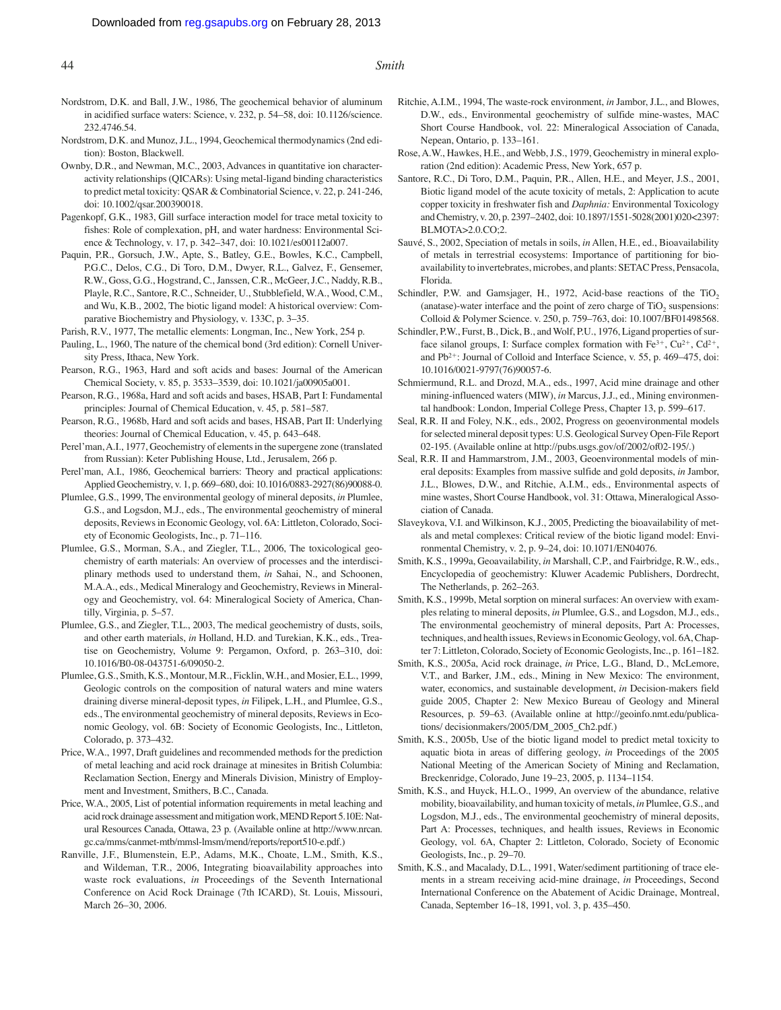- Nordstrom, D.K. and Ball, J.W., 1986, The geochemical behavior of aluminum in acidified surface waters: Science, v. 232, p. 54–58, doi: 10.1126/science. 232.4746.54.
- Nordstrom, D.K. and Munoz, J.L., 1994, Geochemical thermodynamics (2nd edition): Boston, Blackwell.
- Ownby, D.R., and Newman, M.C., 2003, Advances in quantitative ion characteractivity relationships (QICARs): Using metal-ligand binding characteristics to predict metal toxicity: QSAR & Combinatorial Science, v. 22, p. 241-246, doi: 10.1002/qsar.200390018.
- Pagenkopf, G.K., 1983, Gill surface interaction model for trace metal toxicity to fishes: Role of complexation, pH, and water hardness: Environmental Science & Technology, v. 17, p. 342–347, doi: 10.1021/es00112a007.
- Paquin, P.R., Gorsuch, J.W., Apte, S., Batley, G.E., Bowles, K.C., Campbell, P.G.C., Delos, C.G., Di Toro, D.M., Dwyer, R.L., Galvez, F., Gensemer, R.W., Goss, G.G., Hogstrand, C., Janssen, C.R., McGeer, J.C., Naddy, R.B., Playle, R.C., Santore, R.C., Schneider, U., Stubblefield, W.A., Wood, C.M., and Wu, K.B., 2002, The biotic ligand model: A historical overview: Comparative Biochemistry and Physiology, v. 133C, p. 3–35.
- Parish, R.V., 1977, The metallic elements: Longman, Inc., New York, 254 p. Pauling, L., 1960, The nature of the chemical bond (3rd edition): Cornell Univer-
- sity Press, Ithaca, New York. Pearson, R.G., 1963, Hard and soft acids and bases: Journal of the American
- Chemical Society, v. 85, p. 3533–3539, doi: 10.1021/ja00905a001.
- Pearson, R.G., 1968a, Hard and soft acids and bases, HSAB, Part I: Fundamental principles: Journal of Chemical Education, v. 45, p. 581–587.
- Pearson, R.G., 1968b, Hard and soft acids and bases, HSAB, Part II: Underlying theories: Journal of Chemical Education, v. 45, p. 643–648.
- Perel'man, A.I., 1977, Geochemistry of elements in the supergene zone (translated from Russian): Keter Publishing House, Ltd., Jerusalem, 266 p.
- Perel'man, A.I., 1986, Geochemical barriers: Theory and practical applications: Applied Geochemistry, v. 1, p. 669–680, doi: 10.1016/0883-2927(86)90088-0.
- Plumlee, G.S., 1999, The environmental geology of mineral deposits, *in* Plumlee, G.S., and Logsdon, M.J., eds., The environmental geochemistry of mineral deposits, Reviews in Economic Geology, vol. 6A: Littleton, Colorado, Society of Economic Geologists, Inc., p. 71–116.
- Plumlee, G.S., Morman, S.A., and Ziegler, T.L., 2006, The toxicological geochemistry of earth materials: An overview of processes and the interdisciplinary methods used to understand them, *in* Sahai, N., and Schoonen, M.A.A., eds., Medical Mineralogy and Geochemistry, Reviews in Mineralogy and Geochemistry, vol. 64: Mineralogical Society of America, Chantilly, Virginia, p. 5–57.
- Plumlee, G.S., and Ziegler, T.L., 2003, The medical geochemistry of dusts, soils, and other earth materials, *in* Holland, H.D. and Turekian, K.K., eds., Treatise on Geochemistry, Volume 9: Pergamon, Oxford, p. 263–310, doi: 10.1016/B0-08-043751-6/09050-2.
- Plumlee, G.S., Smith, K.S., Montour, M.R., Ficklin, W.H., and Mosier, E.L., 1999, Geologic controls on the composition of natural waters and mine waters draining diverse mineral-deposit types, *in* Filipek, L.H., and Plumlee, G.S., eds., The environmental geochemistry of mineral deposits, Reviews in Economic Geology, vol. 6B: Society of Economic Geologists, Inc., Littleton, Colorado, p. 373–432.
- Price, W.A., 1997, Draft guidelines and recommended methods for the prediction of metal leaching and acid rock drainage at minesites in British Columbia: Reclamation Section, Energy and Minerals Division, Ministry of Employment and Investment, Smithers, B.C., Canada.
- Price, W.A., 2005, List of potential information requirements in metal leaching and acid rock drainage assessment and mitigation work, MEND Report 5.10E: Natural Resources Canada, Ottawa, 23 p. (Available online at http://www.nrcan. gc.ca/mms/canmet-mtb/mmsl-lmsm/mend/reports/report510-e.pdf.)
- Ranville, J.F., Blumenstein, E.P., Adams, M.K., Choate, L.M., Smith, K.S., and Wildeman, T.R., 2006, Integrating bioavailability approaches into waste rock evaluations, *in* Proceedings of the Seventh International Conference on Acid Rock Drainage (7th ICARD), St. Louis, Missouri, March 26–30, 2006.
- Ritchie, A.I.M., 1994, The waste-rock environment, *in* Jambor, J.L., and Blowes, D.W., eds., Environmental geochemistry of sulfide mine-wastes, MAC Short Course Handbook, vol. 22: Mineralogical Association of Canada, Nepean, Ontario, p. 133–161.
- Rose, A.W., Hawkes, H.E., and Webb, J.S., 1979, Geochemistry in mineral exploration (2nd edition): Academic Press, New York, 657 p.
- Santore, R.C., Di Toro, D.M., Paquin, P.R., Allen, H.E., and Meyer, J.S., 2001, Biotic ligand model of the acute toxicity of metals, 2: Application to acute copper toxicity in freshwater fish and *Daphnia:* Environmental Toxicology and Chemistry, v. 20, p. 2397–2402, doi: 10.1897/1551-5028(2001)020<2397: BLMOTA>2.0.CO;2.
- Sauvé, S., 2002, Speciation of metals in soils, *in* Allen, H.E., ed., Bioavailability of metals in terrestrial ecosystems: Importance of partitioning for bioavailability to invertebrates, microbes, and plants: SETAC Press, Pensacola, Florida.
- Schindler, P.W. and Gamsjager, H., 1972, Acid-base reactions of the TiO<sub>2</sub> (anatase)-water interface and the point of zero charge of  $TiO<sub>2</sub>$  suspensions: Colloid & Polymer Science. v. 250, p. 759–763, doi: 10.1007/BF01498568.
- Schindler, P.W., Furst, B., Dick, B., and Wolf, P.U., 1976, Ligand properties of surface silanol groups, I: Surface complex formation with  $Fe^{3+}$ ,  $Cu^{2+}$ ,  $Cd^{2+}$ , and Pb<sup>2+</sup>: Journal of Colloid and Interface Science, v. 55, p. 469-475, doi: 10.1016/0021-9797(76)90057-6.
- Schmiermund, R.L. and Drozd, M.A., eds., 1997, Acid mine drainage and other mining-influenced waters (MIW), *in* Marcus, J.J., ed., Mining environmental handbook: London, Imperial College Press, Chapter 13, p. 599–617.
- Seal, R.R. II and Foley, N.K., eds., 2002, Progress on geoenvironmental models for selected mineral deposit types: U.S. Geological Survey Open-File Report 02-195. (Available online at http://pubs.usgs.gov/of/2002/of02-195/.)
- Seal, R.R. II and Hammarstrom, J.M., 2003, Geoenvironmental models of mineral deposits: Examples from massive sulfide and gold deposits, *in* Jambor, J.L., Blowes, D.W., and Ritchie, A.I.M., eds., Environmental aspects of mine wastes, Short Course Handbook, vol. 31: Ottawa, Mineralogical Association of Canada.
- Slaveykova, V.I. and Wilkinson, K.J., 2005, Predicting the bioavailability of metals and metal complexes: Critical review of the biotic ligand model: Environmental Chemistry, v. 2, p. 9–24, doi: 10.1071/EN04076.
- Smith, K.S., 1999a, Geoavailability, *in* Marshall, C.P., and Fairbridge, R.W., eds., Encyclopedia of geochemistry: Kluwer Academic Publishers, Dordrecht, The Netherlands, p. 262–263.
- Smith, K.S., 1999b, Metal sorption on mineral surfaces: An overview with examples relating to mineral deposits, *in* Plumlee, G.S., and Logsdon, M.J., eds., The environmental geochemistry of mineral deposits, Part A: Processes, techniques, and health issues, Reviews in Economic Geology, vol. 6A, Chapter 7: Littleton, Colorado, Society of Economic Geologists, Inc., p. 161–182.
- Smith, K.S., 2005a, Acid rock drainage, *in* Price, L.G., Bland, D., McLemore, V.T., and Barker, J.M., eds., Mining in New Mexico: The environment, water, economics, and sustainable development, *in* Decision-makers field guide 2005, Chapter 2: New Mexico Bureau of Geology and Mineral Resources, p. 59–63. (Available online at http://geoinfo.nmt.edu/publications/ decisionmakers/2005/DM\_2005\_Ch2.pdf.)
- Smith, K.S., 2005b, Use of the biotic ligand model to predict metal toxicity to aquatic biota in areas of differing geology, *in* Proceedings of the 2005 National Meeting of the American Society of Mining and Reclamation, Breckenridge, Colorado, June 19–23, 2005, p. 1134–1154.
- Smith, K.S., and Huyck, H.L.O., 1999, An overview of the abundance, relative mobility, bioavailability, and human toxicity of metals, *in* Plumlee, G.S., and Logsdon, M.J., eds., The environmental geochemistry of mineral deposits, Part A: Processes, techniques, and health issues, Reviews in Economic Geology, vol. 6A, Chapter 2: Littleton, Colorado, Society of Economic Geologists, Inc., p. 29–70.
- Smith, K.S., and Macalady, D.L., 1991, Water/sediment partitioning of trace elements in a stream receiving acid-mine drainage, *in* Proceedings, Second International Conference on the Abatement of Acidic Drainage, Montreal, Canada, September 16–18, 1991, vol. 3, p. 435–450.